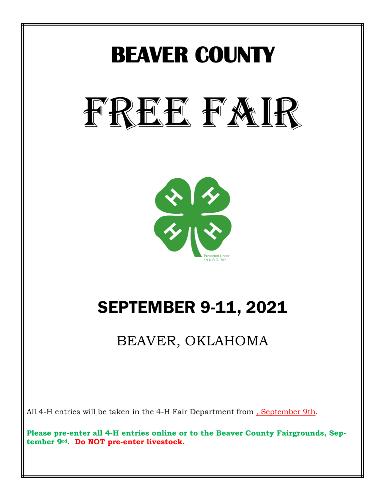

All 4-H entries will be taken in the 4-H Fair Department from , September 9th.

**Please pre-enter all 4-H entries online or to the Beaver County Fairgrounds, September 9rd. Do NOT pre-enter livestock.**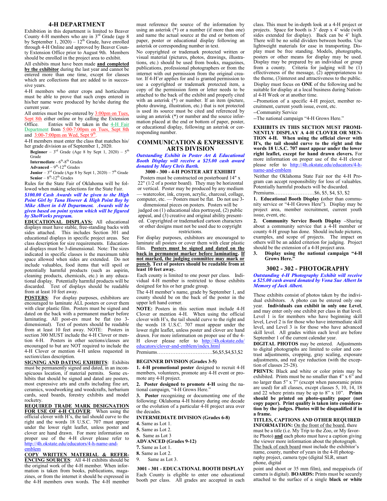#### **4-H DEPARTMENT**

Exhibition in this department is limited to Beaver County 4-H members who are in  $3<sup>rd</sup>$  Grade (age 8) by September 1, 2020) –  $12<sup>th</sup>$  Grade, have enrolled through 4-H Online and approved by Beaver County Extension Office prior to August 9th. Members should be enrolled in the project area to exhibit.

All exhibits must have been made **and completed by the exhibitor** during the last year and cannot be entered more than one time, except for classes which are collections that are added to in successive years.

4-H members who enter crops and horticulture must be able to prove that such crops entered in his/her name were produced by he/she during the current year.

All entries must be pre-entered by  $3:00 \text{pm}$  on Tues,  $\frac{\text{Sept 8th}}{\text{Office}}$  either online or by calling the Extension Office Entries will be taken in the 4-H Fair Department from 5:00-7:00pm on Tues, Sept 8th and 3:00-7:00pm on Wed, Sept 9<sup>th</sup>.

4-H members must enter the class that matches his/ her grade division as of September 1, 2020.

**Beginner** –  $3<sup>rd</sup>$  Grade (Age 8 by Sept 1, 2020) –  $5<sup>th</sup>$ Grade

**Intermediate** - 6<sup>th</sup>-8<sup>th</sup> Grades

 $\bf{Advanced} - 9<sup>th</sup> - 12<sup>th</sup>$  Grades

**Junior**  $-3^{rd}$  Grade (Age 8 by Sept 1, 2020)  $-7^{th}$  Grade Senior – 8<sup>th</sup>-12<sup>th</sup> Grades

Rules for the State Fair of Oklahoma will be followed when making selections for the State Fair.

#### *\$100.00 Cash Awards will be given to the High Point Girl by Tana Hoover & High Point Boy by Mike Albert in 4-H Department. Awards will be given based on point system which will be figured by ShoWorks program.*

**EDUCATIONAL DISPLAYS:** All educational displays must have stable, free-standing backs with sides attached. This includes Section 301 and educational displays in specific project areas. See class description for size requirements. Educational displays must be 3-dimensional. Note: The sizes indicated in specific classes is the maximum table space allowed when sides are extended. Do not include valuables, food items that will spoil or potentially harmful products (such as aspirin, cleaning products, chemicals, etc.) in any educational display. Potentially harmful products will be discarded. Text of displays should be readable from at least 10 feet away.

**POSTERS**: For display purposes, exhibitors are encouraged to laminate ALL posters or cover them with clear plastic film. Posters must be signed and dated on the back with a permanent marker before laminating. All post-ers must be flat (no 3 dimensional). Text of posters should be readable from at least 10 feet away. NOTE: Posters in section 300 MUST include the 4-H Clover or mention 4-H. Posters in other sections/classes are encouraged to but are NOT required to include the 4-H Clover or mention 4-H unless requested in section/class description.

**SIGNING AND DATING EXHIBITS**: Exhibits must be permanently signed and dated, in an inconspicuous location, if material permits. Some exhibits that should be signed and dated are posters, most expressive arts and crafts including fine art, ceramics, woodworking and woodcrafts, herbarium cards, seed boards, forestry exhibits and model rocketry.

**REQUIRED TRADE MARK DESIGNATION FOR USE OF 4-H CLOVER**: When using the official clover with H's, the tail should curve to the right and the words 18 U.S.C. 707 must appear under the lower right leaflet, unless poster and clover are hand drawn. For more information on proper use of the 4-H clover please refer to http://4h.okstate.edu/educators/4-h-name-andemblem

**COPY WRITTEN MATERIAL & REFER-ENCING SOURCES**: All 4-H exhibits should be the original work of the 4-H member. When information is taken from books, publications, magazines, or from the internet it should be expressed in the 4-H members own words. The 4-H member

must reference the source of the information by using an asterisk (\*) or a number (if more than one) and name the actual source at the end or bottom of paper, poster or educational display following an asterisk or corresponding number in text.

No copyrighted or trademark protected written or visual material (pictures, photos, drawings, illustrations, etc.) should be used from books, magazines, publications, professional photographers or from the internet with out permission from the original creator. If 4-H'er applies for and is granted permission to use a copyrighted or trademark protected item, a copy of the permission form or letter needs to be attached to the back of the exhibit and properly cited with an asterisk (\*) or number. If an item (picture, photo drawing, illustration, etc.) that is not protected is used its source must be cited and referenced by using an asterisk (\*) or number and the source information placed at the end or bottom of paper, poster, or educational display, following an asterisk or corresponding number.

# **COMMUNICATION & EXPRESSIVE ARTS DIVISION**

#### *Outstanding Exhibit in Poster Art & Educational Booth Display will receive a \$25.00 cash award donated by Mary Chris Barth.*

#### **3000 - 300 - 4-H POSTER ART EXHIBIT**

Posters must be constructed on posterboard 14" x 22" (1/2 of a poster board). They may be horizontal or vertical. Poster may be produced by any medium — watercolor, ink, crayon, acrylic, charcoal, collage, computer, etc. — Posters must be flat. Do not use 3-

dimensional pieces on posters. Posters will be judged on (1) educational idea portrayed, (2) public appeal, and (3) creative and original ability presented. Copyrighted or trademarked cartoon characters or other designs must not be used due to copyright

# restrictions.

For display purposes, exhibitors are encouraged to laminate all posters or cover them with clear plastic film. **Posters must be signed and dated on the back in permanent marker before laminating. If not marked, the judging committee may mark or punch. Text of posters should be readable from at least 10 feet away.** 

Each county is limited to one poser per class. Individual 4-H member is restricted to those exhibits designed for his or her grade group.

The 4-H member's name, grade by September 1, and county should be on the back of the poster in the upper left hand corner.

**NOTE:** Posters in this section must include 4-H Clover or mention 4-H. When using the official clover with H's, the tail should curve to the right and the words 18 U.S.C. 707 must appear under the lower right leaflet, unless poster and clover are hand drawn. For more information on proper use of the 4- H clover please refer to http://4h.okstate.edu/

educators/clover-and-emblem/index.html Premiums……………………………\$6,\$5,\$4,\$3,\$2

# **BEGINNER DIVISION (Grades 3-5)**

**1. 4-H promotional poster** designed to recruit 4-H members, volunteers, promote any 4-H event or promote any 4-H project.

**2. Poster designed to promote 4-H** using the national campaign, "4-H Grows Here."

**3. Poster** recognizing or documenting one of the following: Oklahoma 4-H history during one decade or the evolution of a particular 4-H project area over the decades.

# **INTERMEDIATE DIVISION (Grades 6-8)**

**4.** Same as Lot 1.

**5.** Same as Lot 2.

**6.** Same as Lot 3

**ADVANCED (Grades 9-12)**

- **7.** Same as Lot 1.
- **8.** Same as Lot 2.
- 9. Same as Lot 3.

# **3001 - 301 - EDUCATIONAL BOOTH DISPLAY**

Each County is eligible to enter one educational booth per class. All grades are accepted in each class. This must be in-depth look at a 4-H project or projects. Space for booth is 3' deep x 4' wide (with sides extended for display). Back can be 4' high. There will be no solid dividers between booths. Use lightweight materials for ease in transporting. Display must be free standing. Models, photographs, posters or other means for display may be used. Display may be prepared by an individual or group from a county. Criteria for judging will be (1) effectiveness of the message, (2) appropriateness to the theme, (3)interest and attractiveness to the public. Display must focus on **ONE** of the following and be suitable for display at a local business during National 4-H Week or at another time.

--Promotion of a specific 4-H project, member recruitment, current youth issue, event, etc.

--Community Service

--The national campaign "4-H Grows Here."

**EXHIBITS IN THIS SECTION MUST PROMI-NENTLY DISPLAY A 4-H CLOVER OR MEN-TION 4-H. When using the official clover with H's, the tail should curve to the right and the words 18 U.S.C. 707 must appear under the lower right leaflet, except for hand drawn clovers.** For more information on proper use of the 4-H clover please refer to http://4h.okstate.edu/educators/4-hname-and-emblem

Neither the Oklahoma State Fair nor the 4-H Program can accept responsibility for loss of valuables. Potentially harmful products will be discarded.

Premiums……………………\$6, \$5, \$4, \$3, \$2

**1. Educational Booth Display (**other than community service or "4-H Grows Here"). Display may be project area, member recruitment, current youth issue, event, etc.

**2. Community Service Booth Display –**Sharing about a community service that a 4-H member or county 4-H group has done. Should include pictures, examples, and scope of projects. The impact on others will be an added criterion for judging. Project should be the extension of a 4-H project area.

**3. Display using the national campaign "4-H Grows Here."**

#### **3002 - 302 - PHOTOGRAPHY**

*Outstanding 4-H Photography Exhibit will receive a \$25.00 cash award donated by Vona Sue Albert In Memory of Jack Albert.*

These exhibits consist of photos taken by the individual exhibitors. A photo can be entered only one year. **Individuals can exhibit in only one Level**, and may enter only one exhibit per class in that level. Level 1 is for members who have beginning skill level, Level 2 is for those who have intermediate skill level, and Level 3 is for those who have advanced skill level. All grades within each level are before September 1 of the current calendar year.

**DIGITAL PHOTOS** may be entered. Adjustments to digital photographs are limited to color and contrast adjustments, cropping, gray scaling, exposure adjustments, and red eye reduction (with the exception of classes 25-28).

**PRINTS:** Black and white or color prints may be exhibited. Prints must be no smaller than 4" x 6" and no larger than 5" x 7" (except when panoramic prints are used) for all classes, except classes 5, 10, 14, 18 and 22 where prints may be up to 8" x 10". **Prints should be printed on photo-quality paper (not copy paper). Print quality is taken into consideration by the judges. Photos will be disqualified if in a frame.**

**TITLES, CAPTIONS AND OTHER REQUIRED INFORMATION:** On the front of the board, there must be a title (i.e. My Trip to the Zoo, or My favorite Photo) **and** each photo must have a caption giving the viewer more information about the photograph. The back of each board must include the exhibitor's name, county, number of years in the 4-H photography project, camera type (digital SLR, smart phone, digital

point and shoot or 35 mm film), and megapixels (if camera is digital). **BOARDS:** Prints must be securely attached to the surface of a single **black or white**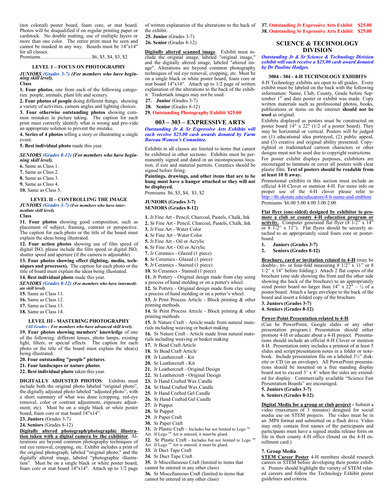(not colored) poster board, foam core, or mat board. Photos will be disqualified if on regular printing paper or cardstock. No double matting, use of multiple layers or more than one color. The entire print must be seen and cannot be masked in any way. Boards must be 14"x14" for all classes.

Premiums…….……………………\$6, \$5, \$4, \$3, \$2

# **LEVEL 1 – FOCUS ON PHOTOGRAPHY**

*JUNIORS (Grades 3-7) (For members who have begin-ning skill level).* **Class**

**1. Four photos**, one from each of the following categories: people, animals, plant life and scenery.

**2. Four photos of people** doing different things, showing a variety of activities, camera angles and lighting choices. **3. Four otherwise outstanding photos** showing com-

mon mistakes in picture taking. The caption for each print must correctly identify what is wrong and pro-vide an appropriate solution to prevent the mistake. **4. Series of 4 photos** telling a story or illustrating a single

event.

**5. Best individual photo** made this year.

*SENIORS (Grades 8-12) (For members who have beginning skill level).*

**6.** Same as Class 1.

**7.** Same as Class 2.

**8.** Same as Class 3.

**9.** Same as Class 4.

**10.** Same as Class 5.

## **LEVEL II – CONTROLLING THE IMAGE** *JUNIORS (Grades 3-7) (For members who have intermediate skill level).*

# **Class**

**11. Four photos** showing good composition, such as placement of subject, framing, contrast or perspective. The caption for each photo or the title of the board must explain the ideas being illustrated.

**12. Four action photos** showing use of film speed of digital ISO, please include the film speed or digital ISO, shutter speed and aperture (if the camera is adjustable).

**13. Four photos showing effect (lighting, media, techniques and processes).** The caption for each photo or the title of board must explain the ideas being illustrated.

**14. Best individual photo** made this year.

*SENIORS (Grades 8-12) (For members who have intermediate skill level).*

**15.** Same as Class 11.

**16.** Same as Class 12.

**17.** Same as Class 13.

**18.** Same as Class 14.

#### **LEVEL III - MASTERING PHOTOGRAPHY**

*(All Grades - For members who have advanced skill level).* **19. Four photos showing members' knowledge** of one of the following: different lenses, photo lamps, existing light, filters, or special effects. The caption for each

photo or the title of the board must explain the idea(s) being illustrated. **20. Four outstanding "people" pictures**.

**21. Four landscapes or nature photos**.

**22. Best individual photo** taken this year.

**DIGITALLY ADJUSTED PHOTOS**: Exhibits must include both the original photo labeled "original photo", the digitally adjusted photo labeled "adjusted photo", with a short summary of what was done (cropping, red-eye removal, color or contrast adjustment, exposure adjustment, etc). Must be on a single black or white poster board, foam core or mat board 14"x14".

**23. Juniors** (Grades 3-7)

**24. Seniors** (Grades 8-12)

**Digitally altered photograph/photographic illustration taken with a digital camera by the exhibitor**. Alterations are beyond common photography techniques of red eye removal, cropping, etc. Exhibit includes a print of the original photograph, labeled "original photo," and the digitally altered image, labeled "photographic illustration". Must be on a single black or white poster board, foam core or mat board 14"x14". Attach up to 1/2 page

of written explanation of the alterations to the back of the exhibit.

**25. Junior** (Grades 3-7)

**26. Senior** (Grades 8-12)

**Digitally altered scanned image**. Exhibit must include the original image, labeled "original image," and the digitally altered image, labeled "altered image". Alterations are beyond common photography techniques of red eye removal, cropping, etc. Must be on a single black or white poster board, foam core or mat board 14"x14". Attach up to 1/2 page of written explanation of the alterations to the back of the exhibit. Trademark images may not be used.

**27. Junior** (Grades 3-7)

**28. Senior** (Grades 8-12)

**29. Outstanding Photography Exhibit \$25.00**

#### **003 – 303 – EXPRESSIVE ARTS**

*Outstanding Jr & Sr Expressive Arts Exhibits will each receive \$25.00 cash awards donated by Farm Bureau Women's Committee.*

Exhibits in all classes are limited to items that cannot be exhibited in other sections. Exhibits must be permanently signed and dated in an inconspicuous location, if size and material permits. Ceramics should be signed before firing.

#### **Paintings, drawings, and other items that are to be hung must have a hanger attached or they will not be displayed.**

Premiums \$6, \$5, \$4, \$3, \$2

# **JUNIORS (Grades 3-7)**

**SENIORS (Grades 8-12)**

- **1.** Jr Fine Art Pencil, Charcoal, Pastels, Chalk, Ink
- **2.** Sr Fine Art Pencil, Charcoal, Pastels, Chalk, Ink

**3.** Jr Fine Art - Water Color

**4.** Sr Fine Art - Water Color

**5.** Jr Fine Art - Oil or Acrylic

**6.** Sr Fine Art - Oil or Acrylic

**7.** Jr Ceramics - Glazed (1 piece)

**8.** Sr Ceramics - Glazed (1 piece)

**9.** Jr Ceramics - Stained (1 piece)

**10.** Sr Ceramics - Stained (1 piece)

- **11.** Jr Pottery Original design made from clay using a process of hand molding or on a potter's wheel.
- **12.** Sr Pottery Original design made from clay using
- a process of hand molding or on a potter's wheel.

**13.** Jr Print Process Article - Block printing & other

printing methods. **14.** Sr Print Process Article - Block printing & other

printing methods. **15.** Jr Nature Craft - Article made from natural mate-

rials including weaving or basket making **16.** Sr Nature Craft - Article made from natural mate-

rials including weaving or basket making

**17.** Jr Bead Craft Article

**18.** Sr Bead Craft Article

**19.** Jr Leathercraft - Kit

- **20.** Sr Leathercraft Kit
- **21.** Jr Leathercraft Original Design
- **22.** Sr Leathercraft Original Design
- **23.** Jr Hand Crafted Wax Candle
- **24.** Sr Hand Crafted Wax Candle
- **25.** Jr Hand Crafted Gel Candle
- **26.** Sr Hand Crafted Gel Candle
- **27.** Jr Puppet
- **28.** Sr Puppet
- **29.** Jr Paper Craft
- **30.** Sr Paper Craft
- 
- **31.** Jr Plastic Craft Includes but not limited to Lego  $^{\text{TM}}$ Art. If Lego<sup>™</sup> Art is entered, it must be glued.

- **32.** Sr Plastic Craft Includes but not limited to Lego ™ Art. If Lego  $TM$  Art is entered, it must be glued.
- **33.** Jr Duct Tape Craft

**34.** Sr Duct Tape Craft

**35.** Jr Miscellaneous Craft (limited to items that

cannot be entered in any other class)

**36.** Sr Miscellaneous Craft (limited to items that cannot be entered in any other class)

**37. Outstanding Jr Expressive Arts Exhibit \$25.00 38. Outstanding Sr Expressive Arts Exhibit \$25.00**

# **SCIENCE & TECHNOLOGY DIVISION**

*Outstanding Jr & Sr Science & Technology Division exhibit will each receive a \$25.00 cash award donated by Dr Pauline Hodges.*

#### **3004 - 304 - 4-H TECHNOLOGY EXHIBITS**

4-H Technology exhibits are open to all grades. Every exhibit must be labeled on the back with the following information: Name, Club, County, Grade before September  $1<sup>st</sup>$  and date poster or exhibit was made. Copy written materials such as professional photos, books, publications or items on the internet **should not be used** as original.

Exhibits displayed as posters must be constructed on poster board 14" x 22" (1/2 of a poster board). They may be horizontal or vertical. Posters will be judged on (1) educational idea portrayed, (2) public appeal, and (3) creative and original ability presented. Copyrighted or trademarked cartoon characters or other designs must not be used due to copyright restrictions. For poster exhibit displays purposes, exhibitors are encouraged to laminate or cover all posters with clear plastic film. **Text of posters should be readable from at least 10 ft away.**

Promotional exhibits in this section must include an official 4-H Clover or mention 4-H. For more info on proper use of the 4-H clover please refer to http://4h.okstate.edu/educators/4-h-name-and-emblem Premiums \$6.00 5.00 4.00 3.00 2.00

**Flat flyer (one-sided) designed by exhibitor to promote a club or county 4-H education program or activity.** Computer generated flat flyer (8 1/2" x 14" or 8 1/2" x 11"). Flat flyers should be securely attached to an appropriately sized foam core or posterboard.

**Brochure, card or invitation related to 4-H** (may be double-, tri- or four-fold measuring  $8 \frac{1}{2}$ " x 11" or  $8$ 1/2" x 14" before folding.) Attach 2 flat copies of the brochure (one side showing the front and the other side showing the back of the brochure) to an appropriately sized poster board no larger than 14" x  $22^{\frac{1}{2}} - \frac{1}{2}$  of a poster board. Attach a large envelope to the back of the board and insert a folded copy of the brochure.

(Can be PowerPoint, Google slides or any other presentation program.) Presentation should either promote 4-H or educate about a 4-H project. Presentations should include an official 4-H Clover or mention 4-H. Presentation entry includes a printout of at least 5 slides and script/presentation notes in a folder or notebook. Include presentation file on a labeled 3½" diskette or CD (in an envelope). All PowerPoint presentations should be mounted on a free standing display board not to exceed 3' x 4' when the sides are extended for display. Commercially available "Science Fair

**Digital Media for a group or club project -** Submit a video (maximum of 3 minutes) designed for social media use on STEM projects. The video must be in an .MP4 format and submitted on a flash drive. Video may only contain first names of the participants and participants must have a signed media release form on file in their county 4-H office (found on the 4-H en-

**STEM Career Poster** 4-H members should research careers in STEM before developing their poster exhibit. Posters should highlight the variety of STEM related careers and follow the Technology Exhibit poster

**1. Juniors (Grades 3-7) 2. Seniors (Grades 8-12)**

**3. Juniors (Grades 3-7) 4. Seniors (Grades 8-12)**

**Power-Point Presentation related to 4-H**.

Presentation Boards" are encouraged.

**5. Juniors (Grades 3-7) 6. Seniors (Grades 8-12)**

rollment card.) **7. Group Media**

guidelines and criteria.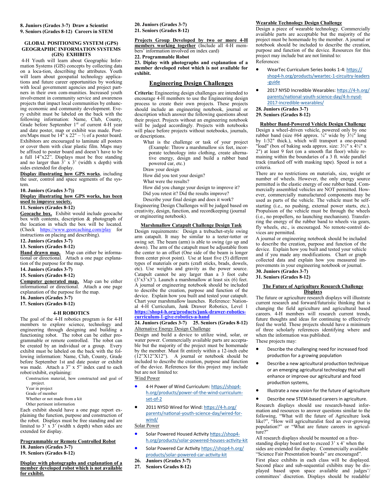# **8. Juniors (Grades 3-7) Draw a Scientist 9. Seniors (Grades 8-12) Careers in STEM**

#### **GLOBAL POSITIONING SYSTEM (GPS) GEOGRAPHIC INFORMATION SYSTEMS (GIS) EXHIBITS**

4-H Youth will learn about Geographic Information Systems (GIS) concepts by collecting data on a loca-tion, describing the attributes. Youth will learn about geospatial technology applications and future career opportunities by working with local government agencies and project partners in their own com-munities. Increased youth involvement in community service and awareness projects that impact local communities by enhancing economic and community development. Every exhibit must be labeled on the back with the following information: Name, Club, County, Grade before September 1<sup>st</sup> of current 4-H year and date poster, map or exhibit was made. Posters/Maps must be  $14$ " x 22" – ½ of a poster board. Exhibitors are encouraged to laminate all posters or cover them with clear plastic film. Maps may be affixed to poster board and doesn't have to be a full 14"x22". Displays must be free standing and no larger than  $3 \times 3'$  (width x depth) with sides extended for display.

**Display illustrating how GPS works**, including the user, control and space segments of the system.

**10. Juniors (Grades 3-7))**

**Display illustrating how GPS works, has been used to improve society.**

#### **11. Seniors (Grades 8-12)**

**Geocache box.** Exhibit would include geocache box with contents, description & photograph of the location in which the box will be located. (Check https://www.georcaching.com/play for instructions on placing and describing).

**12. Juniors (Grades 3-7)**

**13. Seniors (Grades 8-12)**

**Hand drawn map.** Map can either be informational or directional. Attach a one page explanation of the purpose for the map.

**14. Juniors (Grades 3-7)**

## **15. Seniors (Grades 8-12)**

**Computer generated map.** Map can be either informational or directional. Attach a one page explanation of the purpose for the map.

**16. Juniors (Grades 3-7)**

# **17. Seniors (Grades 8-12)**

# **4-H ROBOTICS**

The goal of the 4-H robotics program is for 4-H members to explore science, technology and engineering through designing and building a functioning robot. The robot can be either programmable or remote controlled. The robot can be created by an individual or a group. Every exhibit must be labeled on the back with the following information: Name, Club, County, Grade before September 1st and date poster or exhibit was made. Attach a 3" x 5" index card to each robot/exhibit, explaining:

Construction material, how constructed and goal of project.

Year in project

Grade of member

Whether or not made from a kit

Other pertinent information

Each exhibit should have a one page report explaining the function, purpose and construction of the robot. Displays must be free standing and are limited to  $3' \times 3'$  (width x depth) when sides are extended for display.

# **Programmable or Remote Controlled Robot 18. Juniors (Grades 3-7)**

**19. Seniors (Grades 8-12)**

#### **Display with photographs and explanation of a member developed robot which is not available for exhibit.**

**20. Juniors (Grades 3-7) 21. Seniors (Grades 8-12)**

**Projects Group Developed by two or more 4-H members working together** (Include all 4-H members' information involved on index card)

# **22. Programmable Robot**

**23. Diplay with photographs and explanation of a member developed robot which is not available for exhibit.** 

# **Engineering Design Challenges**

**Criteria:** Engineering design challenges are intended to encourage 4-H members to use the Engineering design process to create their own projects. These projects should include an engineering notebook, journal or description which answer the following questions about their project. Projects without an engineering notebook will be judged accordingly. Projects with notebooks will place before projects without notebooks, journals, or descriptions.

What is the challenge or task of your project (Example: Throw a marshmallow six feet, incorporate technology into clothing, create alternative energy, design and build a rubber band powered car, etc.)

Draw your design

How did you test your design?

What were the results?

How did you change your design to improve it?

Did you retest it? Did the results improve?

Describe your final design and does it work? Engineering Design Challenges will be judged based on creativity, design, function, and recordkeeping (journal or engineering notebook).

# **Marshmallow Catapult Challenge Design Task**

Design requirements: Design a trebuchet-style swing arm catapult. It may be similar to a teeter-totter or swing set. The beam (arm) is able to swing (go up and down). The arm of the catapult must be adjustable from the center to an offset (One side of the beam is longer from center pivot point). Use at least five (5) different types of materials or parts (craft sticks, brads, dowels, etc). Use weights and gravity as the power source. Catapult cannot be any larger than a 3 foot cube  $(3'x3'x3')$ . Launch a marshmallow at least six (6) feet. A journal or engineering notebook should be included to describe the creation, purpose and function of the device. Explain how you built and tested your catapult. Chart your marshmallow launches. Reference: National 4-H Curriculum, Junk Drawer Robotics, Level 1 **https://shop4-h.org/products/junk-drawer-roboticscurriculum-1-give-robotics-a-hand**

# **24. Juniors (Grades 3-7) 25. Seniors (Grades 8-12)** Alternative Energy Design Challenge

Design and build a device to utilize wind, solar, or water power. Commercially available parts are acceptable but the majority of the project must be homemade by the member. Must fit entirely within a 12-inch cube  $(12"X12"X12")$ . A journal or notebook should be included to describe the creation, purpose and function of the device. References for this project may include but are not limited to:

Wind Power

- 4-H Power of Wind Curriculum: [https://shop4](https://shop4-h.org/products/power-of-the-wind-curriculum-set-of-2)[h.org/products/power](https://shop4-h.org/products/power-of-the-wind-curriculum-set-of-2)-of-the-wind-curriculum[set](https://shop4-h.org/products/power-of-the-wind-curriculum-set-of-2)-of-2
- 2011 NYSD Wired for Wind: [https://4](https://4-h.org/parents/national-youth-science-day/wired-for-wind/)-h.org/ [parents/national](https://4-h.org/parents/national-youth-science-day/wired-for-wind/)-youth-science-day/wired-for[wind/](https://4-h.org/parents/national-youth-science-day/wired-for-wind/) Solar Power

- Solar Powered Housed Activity [https://shop4](https://shop4-h.org/products/solar-powered-houses-activity-kit) [h.org/products/solar](https://shop4-h.org/products/solar-powered-houses-activity-kit)-powered-houses-activity-kit
- Solar Powered Car Activity [https://shop4](https://shop4-h.org/products/solar-powered-car-activity-kit)-h.org/ [products/solar](https://shop4-h.org/products/solar-powered-car-activity-kit)-powered-car-activity-kit
- **26. Juniors (Grades 3-7)**
- **27. Seniors Grades 8-12)**

#### **Wearable Technology Design Challenge**

Design a piece of wearable technology. Commercially available parts are acceptable but the majority of the project must be homemade by the member. A journal or notebook should be included to describe the creation, purpose and function of the device. Resources for this project may include but are not limited to: References:

- WearTec Curriculum Series books 1-4: [https://](https://shop4-h.org/products/weartec-1-circuitry-leaders-guide) shop4-[h.org/products/weartec](https://shop4-h.org/products/weartec-1-circuitry-leaders-guide)-1-circuitry-leaders -[guide](https://shop4-h.org/products/weartec-1-circuitry-leaders-guide)
- 2017 NYSD Incredible Wearables: [https://4](https://4-h.org/parents/national-youth-science-day/4-h-nysd-2017-incredible-wearables/)-h.org/ [parents/national](https://4-h.org/parents/national-youth-science-day/4-h-nysd-2017-incredible-wearables/)-youth-science-day/4-h-nysd-2017-incredible-[wearables/](https://4-h.org/parents/national-youth-science-day/4-h-nysd-2017-incredible-wearables/)
- **28. Juniors (Grades 3-7)**

# **29. Seniors (Grades 8-12)**

# **Rubber Band-Powered Vehicle Design Challenge**

Design a wheel-driven vehicle, powered only by one rubber band (size #64 approx.  $\sqrt{4}$ " wide by  $3\frac{1}{2}$ " long by 1/32" thick.), which will transport a one-pound "load" (box of baking soda approx. size: 3½" x 4½" x 2") at least 9 feet (on a smooth flat floor) while remaining within the boundaries of a 3 ft. wide parallel track (marked off with masking tape). Speed is not a criteria.

There are no restrictions on materials, size, weight or number of wheels. However, the only energy source permitted is the elastic energy of one rubber band. Commercially assembled vehicles are NOT permitted. However, commercially manufactured components may be used as parts of the vehicle. The vehicle must be selfstarting (i.e., no pushing, external power starts, etc.). Propulsion of the vehicle must be through the wheels (i.e., no propellers, no launching mechanism). Transferring the energy of the rubber band to wheels via gears, fly wheels, etc., is encouraged. No remote-control devices are permitted.

A journal or engineering notebook should be included to describe the creation, purpose and function of the device. Explain how you built and tested your vehicle and if you made any modifications. Chart or graph collected data and explain how you measured improvements in your engineering notebook or journal. **30. Juniors (Grades 3-7)** 

# **31. Seniors (Grades 8-12)**

#### **The Future of Agriculture Research Challenge Displays**

The future or agriculture research displays will illustrate current research and forward/futuristic thinking that is changing the field agriculture and agricultural based careers. 4-H members will research current trends, future thoughts and ideas for continuing to effectively feed the world. These projects should have a minimum of three scholarly references identifying where and when the information was published. These projects may:

- Describe the challenging need for increased food production for a growing population
- Describe a new agricultural production technique or an emerging agricultural technology that will enhance or improve our agricultural and food production systems,
- Illustrate a new vision for the future of agriculture

• Describe new STEM-based careers in agriculture. Research displays should use research-based information and resources to answer questions similar to the following, "What will the future of Agriculture look like?", "How will agriculturalist feed an ever-growing population?" or "What are future careers in agriculture?"

All research displays should be mounted on a freestanding display board not to exceed 3' x 4' when the sides are extended for display. Commercially available "Science Fair Presentation boards" are encouraged". First place exhibits in each class will be displayed. Second place and sub-sequential exhibits may be displayed based upon space available and judges'/ committees' discretion. Displays should be readable/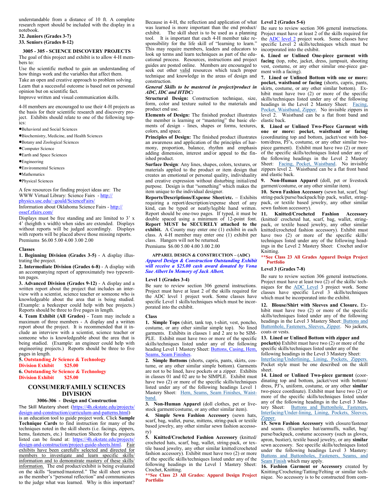understandable from a distance of 10 ft. A complete research report should be included with the display in a notebook.

#### **32. Juniors (Grades 3-7) 33. Seniors (Grades 8-12)**

**3005 - 305 - SCIENCE DISCOVERY PROJECTS** The goal of this project and exhibit is to allow 4-H members to:

Use the scientific method to gain an understanding of how things work and the variables that affect them. Take an open and creative approach to problem solving.

Learn that a successful outcome is based not on personal opinion but on scientific fact.

Improve written and visual communication skills.

4-H members are encouraged to use their 4-H projects as the basis for their scientific research and discovery project. Exhibits should relate to one of the following topics:

•Behavioral and Social Sciences

•Biochemistry, Medicine, and Health Sciences

- •Botany and Zoological Sciences
- •Computer Science
- •Earth and Space Sciences

•Engineering

- •Environmental Sciences
- **•Mathematics**

•Physical Sciences

A few resources for finding project ideas are: The WWW Virtual Library: Science Fairs - http://

physics.usc.edu/~gould/ScienceFairs/

Information about Oklahoma Science Fairs - http:// ossef.zfairs.com/

Displays must be free standing and are limited to 3' x 4' (heighth x width) when sides are extended. Displays without reports will be judged accordingly. Displays with reports will be placed above those missing reports. Premiums \$6.00 5.00 4.00 3.00 2.00

## **Classes**

**1. Beginning Division (Grades 3-5)** - A display illustrating the project.

**2. Intermediate Division (Grades 6-8)** - A display with an accompanying report of approximately two typewritten pages.

**3. Advanced Division (Grades 9-12)** - A display and a written report about the project that includes an interview with a scientist, science teacher or someone who is knowledgeable about the area that is being studied. (Example: a beekeeper could help with bee projects.) Reports should be three to five pages in length.

**4. Team Exhibit (All Grades)** - Team may include a maximum of three members - A display and a written report about the project. It is recommended that it include an interview with a scientist, science teacher or someone who is knowledgeable about the area that is being studied. (Example: an engineer could help with engineering projects.) Reports should be three to five pages in length.

**5. Outstanding Jr Science & Technology Division Exhibit \$25.00 6. Outstanding Sr Science & Technology** 

# **Division Exhibit \$25.00**

# **CONSUMER/FAMILY SCIENCES DIVISION**

## **3006-306 - Design and Construction**

The Skill Mastery sheet (https://4h.okstate.edu/projects/ design-and-construction/curriculum-and-patterns.html) is an education tool to guide project work. Click **Sample Technique Cards** to find instruction for many of the techniques noted in the skill sheets (i.e. facings, zippers, hems, fasteners, etc.) Instruction Sheets for the projects listed can be found at: https://4h.okstate.edu/projects/ design-and-construction/project-guide-sheets.html. Fair exhibits have been carefully selected and directed for members to investigate and learn specific skills/ information and to demonstrate mastery of these skills/ information. The end product/exhibit is being evaluated on the skills "learned/mastered." The skill sheet serves as the member's "personal reflection" and communicates to the judge what was learned. Why is this important?

Because in 4-H, the reflection and application of what **Level 2 (Grades 5-6)**  was learned is more important than the end product/ exhibit. The skill sheet is to be used as a planning tool. It is important that each 4-H member take responsibility for the life skill of "learning to learn." This may require members, leaders and educators to look up terms and learn techniques as part of the educational process. Resources, instructions and project guides are posted online. Members are encouraged to seek out other valid resources which teach proper technique and knowledge in the areas of design and construction.

#### *General Skills to be mastered in project/product in ADC, IDC and HTDC:*

**Structural Design:** Construction technique, size, form, color and texture suited to the materials and product end use.

**Elements of Design:** The finished product illustrates the member is learning or "mastering" the basic elements of design - lines, shapes or forms, textures, colors, and space.

**Principles of Design:** The finished product illustrates an awareness and application of the principles of harmony, proportion, balance, rhythm and emphasis adding dimension, interest and/or appeal to the finished product.

**Surface Design**: Any lines, shapes, colors, textures, or materials applied to the product or item design that creates an emotional or personal quality, individuality and creative expression without disturbing initial/end purpose. Design is that "something" which makes the item unique to the individual designer.

**Reports/Descriptions/Expense Sheet/etc.** – Exhibits requiring a report/description/expense sheet of any kind, can be typed or neatly/legible hand written. Report should be one-two pages. If typed, it must be double spaced using a minimum of 12-point font. **Report MUST be SECURELY attached to the exhibit.** A County may enter one (1) exhibit in each class. A 4-H member may enter one (1) exhibit per class. Hangers will not be returned. Premiums \$6.00 5.00 4.00 3.00 2.00

#### **APPAREL DESIGN & CONSTRUCTION – (ADC)** *Apparel Design & Construction Outstanding Exhibit will receive a \$25.00 cash award donated by Vona Sue Albert In Memory of Jack Albert.*

#### **Level 1 (Grades 3-4)**

Be sure to review section 306 general instructions. Project must have at least 2 of the skills required for the ADC level 1 project work. Some classes have specific Level 1 skills/techniques which must be incorporated into the exhibit.

# **Class**

**1. Simple Tops** (shirt, tank top, t-shirt, vest, poncho, costume, or any other similar simple top). No lined garments. Exhibits in classes 1 and 2 are to be SIM-PLE. Exhibit must have two or more of the specific skills/techniques listed under any of the following heading Level 1 Mastery Sheet: Buttons, Casing, Hem, Seams, Seam Finishes.

**2. Simple Bottoms** (shorts, capris, pants, skirts, costume, or any other similar simple bottom). Garments are not to be lined, have pockets or a zipper. Exhibits in classes 01 and 02 are to be SIMPLE. Exhibit must have two (2) or more of the specific skills/techniques listed under any of the following headings Level 1 Mastery Sheet: [Hem, Seams, Seam Finishes, Waist](https://apps.dasnr.okstate.edu/SSL/4h.okstate.edu/literature-links/lit-online/family-consumer-science/fabric/sample-technique-cards)[band.](https://apps.dasnr.okstate.edu/SSL/4h.okstate.edu/literature-links/lit-online/family-consumer-science/fabric/sample-technique-cards)

**3. Non-Human Apparel** (doll clothes, pet or livestock garment/costume, or any other similar item).

**4. Simple Sewn Fashion Accessory** (sewn hats, scarf, bag, wallet, purse, mittens, string-pack or textile based jewelry, any other similar sewn fashion accessory)

**5. Knitted/Crocheted Fashion Accessory** (knitted/ crocheted hats, scarf, bag, wallet, string-pack, or textile based jewelry, any other similar knitted/crocheted fashion accessory). Exhibit must have two (2) or more of the specific skills/techniques listed under any of the following headings in the Level 1 Mastery Sheet: Crochet, Knitting.

**\*\*See Class 23 All Grades: Apparel Design Project Portfolio**

Be sure to review section 306 general instructions. Project must have at least 2 of the skills required for the **ADC** level 2 project work. Some classes have specific Level 2 skills/techniques which must be incorporated into the exhibit.

**6. Lined or Unlined One-piece garment with facing** (top, robe, jacket, dress, jumpsuit, shooting vest, costume, or any other similar one-piece garment with a facing).

**7. Lined or Unlined Bottom with one or more: pocket, waistband or facing** (shorts, capris, pants, skirts, costume, or any other similar bottom). Exhibit must have two (2) or more of the specific skills/techniques listed under any of the following headings in the Level 2 Mastery Sheet: Facing, [Pocket, Waistband, Zipper.](https://apps.dasnr.okstate.edu/SSL/4h.okstate.edu/literature-links/lit-online/family-consumer-science/fabric/sample-technique-cards) No invisible zippers in level 2. Waistband can be a flat front band and elastic back.

**8. Lined or Unlined Two-Piece Garment with one or more: pocket, waistband or facing**  (coordinating top and bottom, jacket/vest with bottom/dress, PJ's, costume, or any other similar twopiece garment). Exhibit must have two (2) or more of the specific skills/techniques listed under any of the following headings in the Level 2 Mastery Sheet: [Facing, Pocket, Waistband.](https://apps.dasnr.okstate.edu/SSL/4h.okstate.edu/literature-links/lit-online/family-consumer-science/fabric/sample-technique-cards) No invisible zippers level 2. Waistband can be a flat front band and elastic back.

**9. Non-Human Apparel** (doll, pet or livestock garment/costume, or any other similar item).

**10. Sewn Fashion Accessory** (sewn hat, scarf, bag/ string-pack/purse/backpack/hip pack, wallet, stringpack, or textile based jewelry, any other similar sewn fashion accessory).

**11. Knitted/Crocheted Fashion Accessory** (knitted/ crocheted hat, scarf, bag, wallet, stringpack, or textile based jewelry, any other similar knitted/crocheted fashion accessory). Exhibit must have two (2) or more of the specific skills/ techniques listed under any of the following headings in the Level 2 Mastery Sheet: Crochet and/or Knitting.

**\*\*See Class 23 All Grades Apparel Design Project Portfolio**

#### **Level 3 (Grades 7-8)**

Be sure to review section 306 general instructions. Project must have at least two  $(2)$  of the skills/ techniques for the [ADC Level](http://4h.okstate.edu/literature-links/lit-online/family-consumer-science/skill-mastery-sheets) 3 project work. Some classes have specific Level 3 skills/techniques which must be incorporated into the exhibit.

**12. Blouse/Shirt with Sleeves and Closure.** Exhibit must have two (2) or more of the specific skills/techniques listed under any of the following headings in the Level 3 Mastery Sheet: [Buttons and](https://apps.dasnr.okstate.edu/SSL/4h.okstate.edu/literature-links/lit-online/family-consumer-science/fabric/sample-technique-cards)  [Buttonhole, Fasteners, Sleeves, Zipper.](https://apps.dasnr.okstate.edu/SSL/4h.okstate.edu/literature-links/lit-online/family-consumer-science/fabric/sample-technique-cards) No jackets, coats or vests.

**13. Lined or Unlined Bottom with zipper and pocket(s)** Exhibit must have two (2) or more of the specific skills/techniques listed under any of the following headings in the Level 3 Mastery Sheet: [Interfacing/Underlining, Lining, Pockets, Zippers.](https://apps.dasnr.okstate.edu/SSL/4h.okstate.edu/literature-links/lit-online/family-consumer-science/fabric/sample-technique-cards)  Pocket style must be one described on the skill sheet.

**14. Lined or Unlined Two-piece garment** (coordinating top and bottom, jacket/vest with bottom/ dress, PJ's, uniform, costume, or any other **similar** two-piece coordinate). Exhibit must have two (2) or more of the specific skills/techniques listed under any of the following headings in the Level 3 Mastery Sheet: Buttons and Buttonhole, Fasteners, Interfacing/Under-[lining, Lining, Pockets, Sleeves,](https://apps.dasnr.okstate.edu/SSL/4h.okstate.edu/literature-links/lit-online/family-consumer-science/fabric/sample-technique-cards)  [Zipper.](https://apps.dasnr.okstate.edu/SSL/4h.okstate.edu/literature-links/lit-online/family-consumer-science/fabric/sample-technique-cards)

**15. Sewn Fashion Accessory** with closure/fastener and seams. (Examples: hat/earmuffs, wallet, bag/ purse/backpack, costume accessory (such as gloves, apron, bustier), textile based jewelry, or any **similar** sewn accessory. See specific skills/techniques listed under the following headings Level 3 Mastery: [Buttons and Buttonholes, Fasteners, Seams, and](https://apps.dasnr.okstate.edu/SSL/4h.okstate.edu/literature-links/lit-online/family-consumer-science/fabric/sample-technique-cards)  [Seam Finish](https://apps.dasnr.okstate.edu/SSL/4h.okstate.edu/literature-links/lit-online/family-consumer-science/fabric/sample-technique-cards) which may apply.

**16. Fashion Garment or Accessory** created by Knitting/Crocheting/Tatting/Felting or similar technique. No accessory is to be constructed from com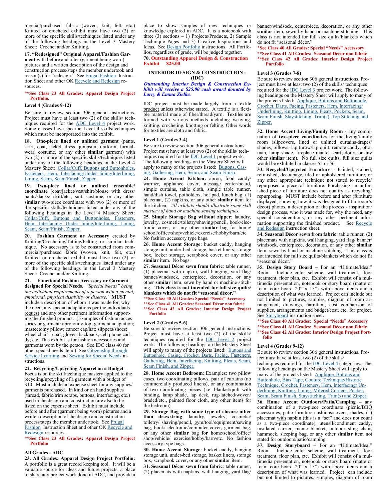mercial/purchased fabric (woven, knit, felt, etc.) Knitted or crocheted exhibit must have two (2) or more of the specific skills/techniques listed under any of the following headings in the Level 3 Mastery Sheet: Crochet and/or Knitting.

**17. "Redesigned" Original Apparel/Fashion Garment** with before and after (garment being worn) pictures and a written description of the design and construction process/steps the member undertook and reason(s) for "redesign." See [Frugal Fashion](http://4h.okstate.edu/literature-links/lit-online/family-consumer-science/fabric/project-guide-sheets-2014/recycle-and-redesign/adc_frugal-fashion/view) Instruc-tion Sheet and other OK [Recycle and Redesign](http://4h.okstate.edu/literature-links/lit-online/family-consumer-science/fabric/project-guide-sheets-2014/recycle-and-redesign/adc_frugal-fashion/view) resources.

#### **\*\*See Class 23 All Grades: Apparel Design Project Portfolio.**

#### **Level 4 (Grades 9-12)**

Be sure to review section 306 general instructions. Project must have at least two  $(2)$  of the skills/ techniques required for the [ADC Level 4](http://4h.okstate.edu/literature-links/lit-online/family-consumer-science/skill-mastery-sheets) project work. Some classes have specific Level 4 skills/techniques which must be incorporated into the exhibit.

**18. One-piece lined or unlined garment** (pants, skirt, coat, jacket, dress, jumpsuit, uniform, formalwear, costume, or any other **similar** garment) with two (2) or more of the specific skills/techniques listed under any of the following headings in the Level 4 Mastery Sheet: Collar/Cuff, Buttons and Buttonholes, [Fasteners, Hem, Interfacing/Under lining/Interlining,](https://apps.dasnr.okstate.edu/SSL/4h.okstate.edu/literature-links/lit-online/family-consumer-science/fabric/sample-technique-cards)  [Lining, Seam, Seam/Finish, Zipper.](https://apps.dasnr.okstate.edu/SSL/4h.okstate.edu/literature-links/lit-online/family-consumer-science/fabric/sample-technique-cards)

**19. Two-piece lined or unlined ensemble/ coordinate** (coat/jacket/vest/shirt/blouse with dress/ pants/slacks/ skirt/etc., suit, costume, or any other similar two-piece coordinate with two (2) or more of the specific skills/techniques listed under any of the following headings in the Level 4 Mastery Sheet: [Collar/Cuff, Buttons and Buttonholes, Fasteners,](https://apps.dasnr.okstate.edu/SSL/4h.okstate.edu/literature-links/lit-online/family-consumer-science/fabric/sample-technique-cards)  [Hem, Interfacing/ Under lining/Interlining, Lining,](https://apps.dasnr.okstate.edu/SSL/4h.okstate.edu/literature-links/lit-online/family-consumer-science/fabric/sample-technique-cards)  [Seam, Seam/Finish, Zipper.](https://apps.dasnr.okstate.edu/SSL/4h.okstate.edu/literature-links/lit-online/family-consumer-science/fabric/sample-technique-cards)

**20. Fashion Garment or Accessory** created by Knitting/Crocheting/Tatting/Felting or similar technique. No accessory is to be constructed from commercial/purchased fabric (woven, knit, felt, etc.) Knitted or crocheted exhibit must have two (2) or more of the specific skills/techniques listed under any of the following headings in the Level 3 Mastery Sheet: Crochet and/or Knitting.

# **21. Functional Fashion Accessory or Garment**

**designed for Special Needs.** *"Special Needs" being the individual requirements of a person with a mental, emotional, physical disability or disease."* **MUST** include a description of whom it was made for, why the need, any special adaptations per the individuals request and any other pertinent information supporting the finished product. (Examples of fashion accessories or garment: apron/tidy-top; garment adaptation; mastectomy pillow; cancer cap/hat; slippers/shoes; wheel chair - coat, gloves, backpack, cell phone caddy; etc. This exhibit is for fashion accessories and garments worn by the person. See IDC class 40 for other special needs item.) See Citizenship through [Service Learning](file:///C:/Users/kknoepf/Downloads/IDC%20Creative%20Component_Service%20Learning_2014.pdf) and [Sewing for Special Needs](http://4h.okstate.edu/literature-links/lit-online/family-consumer-science/fabric/construction/No.%20206d%20005%20Construction%20-%20Sewing%20for%20Special%20Needs.pdf) instructions.

**22. Recycling/Upcycling Apparel on a Budget** – Focus is on the skill/technique mastery applied to the recycling/upcycling of a garment with a budget of \$10. Must include an expense sheet for any supplies/ garments purchased. In kind or on hand supplies (thread, fabric/trim scraps, buttons, interfacing, etc.) used in the design and construction are also to be listed on the expense sheet. Exhibit must include before and after (garment being worn) pictures and a written description of the design and construction process/steps the member undertook. See [Frugal](http://4h.okstate.edu/literature-links/lit-online/family-consumer-science/fabric/project-guide-sheets-2014/recycle-and-redesign/adc_frugal-fashion/view)  [Fashion](http://4h.okstate.edu/literature-links/lit-online/family-consumer-science/fabric/project-guide-sheets-2014/recycle-and-redesign/adc_frugal-fashion/view) Instruction Sheet and other OK Recycle and [Redesign](http://4h.okstate.edu/literature-links/lit-online/family-consumer-science/fabric/project-guide-sheets-2014/recycle-and-redesign/adc_frugal-fashion/view) resources.

#### **\*\*See Class 23 All Grades: Apparel Design Project Portfolio**

#### **All Grades - ADC**

**23. All Grades: Apparel Design Project Portfolio:**  A portfolio is a great record keeping tool. It will be a valuable source for ideas and future projects, a place to share any project work done in ADC, and provide a place to show samples of new techniques or knowledge explored in ADC. It is a notebook with three  $(3)$  sections  $-1$ ) Projects/Products, 2) Sample Technique Pages and 3) Creative Inspirations and Ideas. See [Design Portfolio](file:///C:/Users/kknoepf/Desktop/Fair/Design%20Portfolio) instructions. All Portfolios, regardless of grade, will be judged together. **70. Outstanding Apparel Design & Construction Exhibit \$25.00**

#### **INTERIOR DESIGN & CONSTRUCTION - (IDC)**

*Outstanding Interior Design & Construction Exhibit will receive a \$25.00 cash award donated by Larry & Emma Zielke.*

IDC project must be made largely from a textile product unless otherwise stated. A textile is a flexible material made of fiber/thread/yarn. Textiles are formed with various methods including weaving, knitting, crocheting, knotting or felting. Other words for textiles are cloth and fabric.

#### **Level 1 (Grades 3-4)**

Be sure to review section 306 general instructions. Project must have at least two (2) of the skills/ techniques required for the [IDC Level 1](http://4h.okstate.edu/literature-links/lit-online/family-consumer-science/skill-mastery-sheets) project work. The following headings on the Mastery Sheet will apply to many of the projects listed: [Buttons, Cas](https://apps.dasnr.okstate.edu/SSL/4h.okstate.edu/literature-links/lit-online/family-consumer-science/fabric/sample-technique-cards)[ing, Gathering, Hem, Seam, and Seam Finish.](https://apps.dasnr.okstate.edu/SSL/4h.okstate.edu/literature-links/lit-online/family-consumer-science/fabric/sample-technique-cards)

**24. Home Accent Kitchen:** apron, food caddy/ warmer, appliance cover, message center/board, simple curtains, table cloth, simple table runner, hand/dish towel, potholders, hot pad, lunch bag, (1) placemat, (2) napkins, or any other **similar** item for the kitchen. *All exhibits should illustrate some skill mastery of hand or machine sewing techniques.*

**25. Simple Storage Bag without zipper**: laundry, jewelry, cosmetic/toiletry/shaving/pencil, book/electronic cover, or any other **similar** bag for home/ school/office/shop/vehicle/exercise/hobby/barn/etc. No fashion accessory type bags.

**26. Home Accent Storage**: bucket caddy, hanging storage unit, under-bed storage, basket liners, storage box, locker storage, scrapbook cover, or any other **similar** item. No bags.

**27. Seasonal Décor sewn from fabric**: table runner, (1) placemat with napkin, wall hanging, yard flag/ banner/windsock, centerpiece, decoration, or any other **similar** item, sewn by hand or machine stitching. **This class is not intended for full size quilts/ blankets which do not fit "seasonal décor."**

# **\*\*See Class 40 All Grades: Special "Needs" Accessory**

**\*\*See Class 41 All Grades: Seasonal Décor non fabric \*\*See Class 42 All Grades: Interior Design Project Portfolio**

#### **Level 2 (Grades 5-6)**

Be sure to review section 306 general instructions. Project must have at least two (2) of the skills/ techniques required for the  $\overline{DC}$  Level 2 project work. The following headings on the Mastery Sheet will apply to many of the projects listed: Buttons and [Buttonhole, Casing, Crochet, Darts, Facing](https://apps.dasnr.okstate.edu/SSL/4h.okstate.edu/literature-links/lit-online/family-consumer-science/fabric/sample-technique-cards), Fasteners, [Gathering, Hem, Interfacing, Knitting, Pleats, Seam,](https://apps.dasnr.okstate.edu/SSL/4h.okstate.edu/literature-links/lit-online/family-consumer-science/fabric/sample-technique-cards)  [Seam Finish, and Zipper.](https://apps.dasnr.okstate.edu/SSL/4h.okstate.edu/literature-links/lit-online/family-consumer-science/fabric/sample-technique-cards)

**28. Home Accent Bedroom**: Examples: two pillow cases, two coordinating pillows, pair of curtains (no commercially produced linens), or any combination of two coordinating pieces (i.e. blanket/quilt with binding, lamp shade, lap desk, rug-latched/woven/ braded/etc., painted floor cloth, any other item) for the bedroom).

**29. Storage Bag with some type of closure other than drawstring**: laundry, jewelry, cosmetic/ toiletry/ shaving/pencil, gym/tool/equipment/sewing bag, book/ electronic/computer cover, garment bag, or any other **similar** bag **for** home/school/office/ shop/vehicle/ exercise/hobby/barn/etc. No fashion accessory type bags.

**30. Home Accent Storage**: bucket caddy, hanging storage unit, under-bed storage, basket liners, storage box, scrapbook cover, or any other **similar** item.

**31. Seasonal Décor sewn from fabric**: table runner, (2) placemats with napkins, wall hanging, yard flag/

banner/windsock, centerpiece, decoration, or any other **similar** item, sewn by hand or machine stitching. This class is not intended for full size quilts/blankets which do not fit "seasonal décor."

**\*See Class 40 All Grades: Special "Needs" Accessory \*\*See Class 41 All Grades: Seasonal Décor non fabric \*\*See Class 42 All Grades: Interior Design Project Portfolio**

#### **Level 3 (Grades 7-8)**

Be sure to review section 306 general instructions. Project must have at least two (2) of the skills/ techniques required for the **IDC** Level 3 project work. The following headings on the Mastery Sheet will apply to many of the projects listed: [Applique, Buttons and Buttonhole,](https://apps.dasnr.okstate.edu/SSL/4h.okstate.edu/literature-links/lit-online/family-consumer-science/fabric/sample-technique-cards)  [Crochet, Darts, Facing, Fasteners, Hem, Interfacing/](https://apps.dasnr.okstate.edu/SSL/4h.okstate.edu/literature-links/lit-online/family-consumer-science/fabric/sample-technique-cards) [Underlining, Knitting, Lining, Pleats, Pockets, Seam,](https://apps.dasnr.okstate.edu/SSL/4h.okstate.edu/literature-links/lit-online/family-consumer-science/fabric/sample-technique-cards)  [Seam Finish, Staystitching, Trim\(s\), Top Stitching and](https://apps.dasnr.okstate.edu/SSL/4h.okstate.edu/literature-links/lit-online/family-consumer-science/fabric/sample-technique-cards)  [Zipper.](https://apps.dasnr.okstate.edu/SSL/4h.okstate.edu/literature-links/lit-online/family-consumer-science/fabric/sample-technique-cards)

**32. Home Accent Living/Family Room -** any combination of **two-piece coordinates** for the living/family room (slipcovers, lined or unlined curtains/drapes/ shades, pillows, lap throw/lap quilt, remote caddy, ottoman, lamp shade, fireplace mantel scarf, doily, or any other **similar** item). No full size quilts, full size quilts would be exhibited in classes 55 or 56.

**33. Recycled/Upcycled Furniture –** Painted, stained, refinished, decoupage, tiled or upholstered furniture, or any other appropriate technique not stated to recycle/ repurposed a piece of furniture. Purchasing an unfinished piece of furniture does not qualify as recycling/ repurposing. MUST include before and after (furniture displayed, showing how it was designed to fit a room's décor) photos, a description of the process - inspiration/ design process, who it was made for, why the need, any special considerations, or any other pertinent information supporting the finished product. See [Recycle](http://4h.okstate.edu/literature-links/lit-online/family-consumer-science/fabric/project-guide-sheets-2014/recycle-and-redesign/adc_frugal-fashion/view)  [and Redesign](http://4h.okstate.edu/literature-links/lit-online/family-consumer-science/fabric/project-guide-sheets-2014/recycle-and-redesign/adc_frugal-fashion/view) instruction sheet.

**34. Seasonal Décor sewn from fabric**: table runner, (2) placemats with napkins, wall hanging, yard flag/ banner/ windsock, centerpiece, decoration, or any other **similar** item, sewn by hand or machine stitching. This class is not intended for full size quilts/blankets which do not fit "seasonal décor."

**35. Design Story Board –** For an "Ultimate/Ideal" Room. Include color scheme, wall treatment, floor treatment, floor plan, etc. Exhibit will consist of a multimedia presentation, notebook or story board (matte or foam core board 20" x 15") with above items and a description of what was learned. Project can include but not limited to pictures, samples, diagram of room arrangement, drawings, narration, cost comparison of supplies, arrangements and budget/cost, etc. for project. See **[Storyboard](http://4h.okstate.edu/literature-links/lit-online/family-consumer-science/fabric/project-guide-sheets-2014/storyboard)** instruction sheet.

**\*\*See Class 40 All Grades: Special "Needs" Accessory \*\*See Class 41 All Grades: Seasonal Décor non fabric \*\*See Class 42 All Grades: Interior Design Project Portfolio**

#### **Level 4 (Grades 9-12)**

Be sure to review section 306 general instructions. Project must have at least two (2) of the skills/ techniques required for the [IDC Level 4](http://4h.okstate.edu/literature-links/lit-online/family-consumer-science/skill-mastery-sheets) categories. The following headings on the Mastery Sheet will apply to many of the projects listed: **Applique**, Buttons and [Buttonhole, Bias Tape, Couture Technique/Historic](https://apps.dasnr.okstate.edu/SSL/4h.okstate.edu/literature-links/lit-online/family-consumer-science/fabric/sample-technique-cards)  [Technique, Crochet, Fasteners, Hem, Interfacing/ Un](https://apps.dasnr.okstate.edu/SSL/4h.okstate.edu/literature-links/lit-online/family-consumer-science/fabric/sample-technique-cards)[derlining, Knitting, Lining, Mitered Corners, Pocket,](https://apps.dasnr.okstate.edu/SSL/4h.okstate.edu/literature-links/lit-online/family-consumer-science/fabric/sample-technique-cards)  [Seam, Seam Finish, Staystitching, Trim\(s\) and Zipper.](https://apps.dasnr.okstate.edu/SSL/4h.okstate.edu/literature-links/lit-online/family-consumer-science/fabric/sample-technique-cards)

**36. Home Accent Outdoors/Patio/Camping –** any combination of a two-piece coordinate (picnic/BBQ accessories, patio furniture cushions/covers, shades, (1) placemat with napkin (this is a "set" and does not count as a two-piece coordinate), utensil/condiment caddy, insulated carrier, picnic blanket, outdoor sling chair, hammock, sleeping bag, or any other **similar** item not stated for outdoors/patio/camping.

**37. Design Storyboard –** For an "Ultimate/Ideal" Room. Include color scheme, wall treatment, floor treatment, floor plan, etc. Exhibit will consist of a multimedia presentation, notebook or story board (matte or foam core board 20" x 15") with above items and a description of what was learned. Project can include but not limited to pictures, samples, diagram of room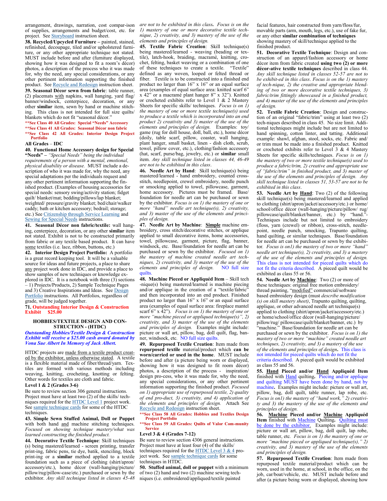of supplies, arrangements and budget/cost, etc. for project. See **Storyboard** instruction sheet.

**38. Recycled/Upcycled Furniture –** painted, stained, refinished, decoupage, tiled and/or upholstered furniture, or any other appropriate technique not stated. MUST include before and after (furniture displayed, showing how it was designed to fit a room's décor) photos, a description of the process who it was made for, why the need, any special considerations, or any other pertinent information supporting the finished product. See [Recycle and Redesign](http://4h.okstate.edu/literature-links/lit-online/family-consumer-science/fabric/project-guide-sheets-2014/recycle-and-redesign/adc_frugal-fashion/view) instruction sheet.

**39. Seasonal Décor sewn from fabric**: table runner, (2) placemats with napkins, wall hanging, yard flag/ banner/windsock, centerpiece, decoration, or any other **similar** item, sewn by hand or machine stitching. This class is not intended for full size quilts/ blankets which do not fit "seasonal décor."

**\*\*See Class 40 All Grades: Special "Needs" Accessory \*\*See Class 41 All Grades: Seasonal Décor non fabric**

# **\*\*See Class 42 All Grades: Interior Design Project Portfolio**

#### **All Grades** – **IDC**

**40. Functional Home Accessory design for Special** 

**"Needs" –** *"Special Needs" being the individual requirements of a person with a mental, emotional, physical disability or disease.* MUST include a description of who it was made for, why the need, any special adaptations per the individuals request and any other pertinent information supporting the finished product. (Examples of housing accessories for special needs: sensory swing/activity station; fidget quilt/ blanket/mat; bedding/pillows/lap blanket; weighted/ pressure/gravity blanket; bed/chair/walker caddy; bath or kitchen accessory; bedrail; storage; etc.) See [Citizenship through Service Learning](file:///C:/Users/kknoepf/Downloads/IDC%20Creative%20Component_Service%20Learning_2014.pdf) and [Sewing for Special Needs](http://4h.okstate.edu/literature-links/lit-online/family-consumer-science/fabric/construction/No.%20206d%20005%20Construction%20-%20Sewing%20for%20Special%20Needs.pdf) instructions.

**41. Seasonal Décor non fabric/textile:** wall hanging, centerpiece, decoration, or any other **similar** item not stated. Exhibit is not to be constructed primarily from fabric or any textile based product. It can have some textiles (i.e. lace, ribbon, buttons, etc.)

**42. Interior Design Project Portfolio:** A portfolio is a great record keeping tool. It will be a valuable source for ideas and future projects, a place to share any project work done in IDC, and provide a place to show samples of new techniques or knowledge explored in IDC. It is a notebook with three (3) sections – 1) Projects/Products, 2) Sample Technique Pages and 3) Creative Inspirations and Ideas. See Design [Portfolio](file:///C:/Users/kknoepf/Desktop/Fair/Design%20Portfolio) instructions. All Portfolios, regardless of grade, will be judged together.

**71. Outstanding Interior Design & Construction Exhibit \$25.00**

### **HOBBIES/TEXTILE DESIGN AND CON-STRUCTION - (HTDC)**

*Outstanding Hobbies/Textile Design & Construction Exhibit will receive a \$25.00 cash award donated by Vona Sue Albert In Memory of Jack Albert.*

HTDC projects are made from a textile product created by the exhibitor, unless otherwise stated. A textile is a flexible material made of fiber/thread/yarn. Textiles are formed with various methods including weaving, knitting, crocheting, knotting or felting. Other words for textiles are cloth and fabric. **Level 1 & 2 (Grades 3-6)**

Be sure to review section 306 general instructions. Project must have at least two (2) of the skills/ techniques required for the [HTDC Level 1](http://4h.okstate.edu/literature-links/lit-online/family-consumer-science/skill-mastery-sheets) project work. See [sample technique cards](https://apps.dasnr.okstate.edu/SSL/4h.okstate.edu/literature-links/lit-online/family-consumer-science/fabric/sample-technique-cards) for some of the HTDC techniques.

**43. Simple Sewn Stuffed Animal, Doll or Puppet**  with both hand and machine stitching techniques. *Focused on showing technique mastery/what was learned constructing the finished product.*

**44. Decorative Textile Technique**: Skill techniques (s) being mastered/learned - screen printing, transfer print-ing, fabric pens, tie dye, batik, stenciling, block print-ing or a **similar** method applied to a textile foundation such as a piece of clothing (shirt/apron/ accessory/etc.), home décor (wall-hanging/picture/ pillow/rug/pillow-case/etc.) purchased or sewn by the exhibitor. *Any skill technique listed in classes 45-48* 

arrangement, drawings, narration, cost compar-ison *are not to be exhibited in this class. Focus is on the 1) mastery of one or more decorative textile technique, 2) creativity, and 3) mastery of the use of the elements and principles of design.*

**45. Textile Fabric Creation**: Skill technique(s) being mastered/learned - weaving (beading or textile), latch-hook, braiding, macramé, knitting, crochet, felting, basket weaving or a combination of one of these techniques to create a textile. "Textile" defined as any woven, looped or felted thread or fiber. Textile is to be constructed into a finished end product no larger than 16" x 16" or an equal surface area (examples of equal surface area: knitted scarf 6" x 42" or a macramé plant hanger 8" x 32"). Knitted or crocheted exhibits refer to Level 1 & 2 Mastery Sheets for specific skills/ techniques. *Focus is on 1) the mastery of one or more textile technique(s) used to produce a textile which is incorporated into an end product 2) creativity and 3) master of the use of the elements and principles of design.* Examples: toy/ game (rug for doll house, doll, ball, etc.), home décor (doily, table scarf, pillow, coaster, wall hanging, plant hanger, small basket, linen - dish cloth, scrub, towel, pillow cover, etc.), clothing/fashion accessory (hat, scarf, purse/bag, jewelry, etc.) or **similar** small item. *Any skill technique listed in classes 44, 46-49 are not to be exhibited in this class*.

**46. Needle Art by Hand**: Skill technique(s) being mastered/learned - hand embroidery, counted crossstitch, needlepoint, crewel embroidery, needle punch or smocking applied to towel, pillowcase, garment, home accessory. Pictures must be framed. Base/ foundation for needle art can be purchased or sewn by the exhibitor. *Focus is on 1) the mastery of one or more "hand" needle art technique(s), 2) creativity, and 3) master of the use of the elements and principles of design.*

**47. Needle Art by Machine**: **Simple** machine embroidery, cross stitch/decorative stitches, or applique applied to small decorative items, home accessories, towel, pillowcase, garment, picture, flag, banner, windsock, etc. Base/foundation for needle art can be purchased or sewn by the exhibitor. *Focused on 1) the mastery of machine created needle art techniques, 2) creativity, and 3) master of the use of the elements and principles of design.* NO full size quilts.

**48. Machine Pieced or Appliquéd Item - Skill tech** -nique(s) being mastered/learned is machine piecing and/or applique in the creation of a "textile/fabric" and then incorporated into an end product. Finished product no larger than 16" x 16" or an equal surface area (examples of equal surface area: fireplace mantel scarf 6" x 42"). *Focus is on 1) the mastery of one or more "machine pieced or appliqued technique(s)", 2) creativity, and 3) master of the use of the elements and principles of design.*Examples might include: picture or wall art, pillow, bag, doll quilt, flag, banner, windsock, etc*.* NO full size quilts.

**49. Repurposed Textile Creation**: Item made from **repurposed textile** material/product which **can be worn/carried or used in the home**. MUST include before and after (a picture being worn or displayed, showing how it was designed to fit room décor) photos, a description of the process - inspiration/ design pro-cess, who it was made for, why the need, any special considerations, or any other pertinent information supporting the finished product. *Focused on 1) appropriate use of repurposed textile, 2) quality of end pro-duct, 3) creativity, and 4) application of the elements and principles of design.* [Recycle and Redesign](http://4h.okstate.edu/literature-links/lit-online/family-consumer-science/fabric/project-guide-sheets-2014/recycle-and-redesign/adc_frugal-fashion/view) instruction sheet.

**\*\*See Class 58 All Grades: Hobbies and Textiles Design Project Portfolio**

**\*\*See Class 59 All Grades: Quilts of Valor Com-munity Service** 

# **Level 3 & 4 (Grades 7-12)**

Be sure to review section 4306 general instructions. Project must have at least four (4) of the skills/ techniques required for the [HTDC Level 3 & 4](http://4h.okstate.edu/literature-links/lit-online/family-consumer-science/skill-mastery-sheets) project work. See [sample technique cards](https://apps.dasnr.okstate.edu/SSL/4h.okstate.edu/literature-links/lit-online/family-consumer-science/fabric/sample-technique-cards) for some techniques in HTDC.

**50. Stuffed animal, doll or puppet** with a minimum of two (2) hand and two (2) machine sewing techniques (i.e. embroidered/appliqued/textile painted

facial features, hair constructed from yarn/floss/fur, movable parts (arm, mouth, legs, etc.), use of fake fur, or any other **similar combination of techniques** showing mastery of skill/technique applied to the finished product.

**51. Decorative Textile Technique**: Design and construction of an apparel/fashion accessory or home décor item from fabric created **using two (2) or more décor-ative textile techniques** described in class 44. *Any skill technique listed in classes 52-57 are not to be exhibit-ed in this class*. *Focus is on the 1) mastery of tech-nique, 2) the creative and appropriate blending of two or more decorative textile techniques, 3) fabric/trim fittingly showcased in a finished product, and 4) master of the use of the elements and principles of design.*

**52. Textile Fabric Creation**: Design and construction of an original "fabric/trim" using at least two (2) tech-niques described in class 45. No size limit. Additional techniques might include but are not limited to hand spinning, cotton linter, and tatting. Additional example: shawl, afghan, stool, socks, etc. Fabric and/ or trim must be made into a finished product. Knitted or crocheted exhibits refer to Level 3 & 4 Mastery Sheets for specific skills/techniques. *Focus is on 1) the mastery of two or more textile technique(s) used to produce a fabric/trim, 2) creative and appropriate use of "fabric/trim" in finished product, and 3) master of the use of the elements and principles of design. Any skill technique listed in classes 51, 53-57 are not to be exhibited in this class*.

**53. Needle Art by Hand**: Two (2) of the following skill technique(s) being mastered/learned and applied to clothing (shirt/apron/jacket/accessory/etc.) or home/ school/office décor (wall-hanging/picture/pillow/ rug/ pillowcase/quilt/blanket/banner, etc.) by "hand."- Techniques include but not limited to embroidery (floss, yarn (crewel) or ribbon), cross-stitch, needlepoint, needle punch, smocking, Trapunto quilting, hand quilting, or similar techniques. Base/foundation for needle art can be purchased or sewn by the exhibitor*. Focus is on1) the mastery of two or more "hand" needle art technique(s), 2) creativity, and 3) a mastery of the use of the elements and principles of design.* This class is not intended for pieced quilts which do not fit the criteria described. A pieced quilt would be exhibited as class 55 or 56.

**54. Needle Art by Machine**: Two (2) or more of these techniques: original free motion embroidery/ thread painting, "modified" commercial/software based embroidery design (must *describe modification (s) on skill mastery sheet)*, Trapunto quilting, quilting, applique, or other advanced needle art technique(s) applied to clothing (shirt/apron/jacket/accessory/etc.) or home/school/office décor (wall-hanging/picture/ pillow/rug/ pillowcase/quilt/blanket/banner, etc.) by 'machine." Base/foundation for needle art can be purchased or sewn by the exhibitor. *Focus is on 1) the mastery of two or more "machine" created needle art techniques, 2) creativity, and 3) a mastery of the use of the elements and principles of design***.** This class is not intended for pieced quilts which do not fit the criteria described. A pieced quilt would be exhibited as class 55 and 56.

**55. Hand Pieced and/or Hand Appliquéd Item**  finished with Hand quilting**.** Piecing and/or applique and quilting MUST have been done by hand, not by machine**.** Examples might include: picture or wall art, pillow, bag, doll quilt, table runner, lap robe, etc. *Focus is on1) the mastery of "hand work," 2) creativity and 3) the mastery of the use of the elements and principles of design.*

**56. Machine Pieced and/or Machine Appliquéd Item** finished with Machine Quilting**.** Quilting must be done by the exhibitor. Examples might include: picture or wall art, pillow, bag, doll quilt, lap robe, table runner, etc*. Focus is on 1) the mastery of one or more "machine pieced or appliqued technique(s)," 2) creativity, and 3) mastery of the use of the elements and principles of design.*

**57. Repurposed Textile Creation**: Item made from repurposed textile material/product which can be worn, used in the home, at school, in the office, on the job, car/boat/vehicle, etc. MUST include before and after (a picture being worn or displayed, showing how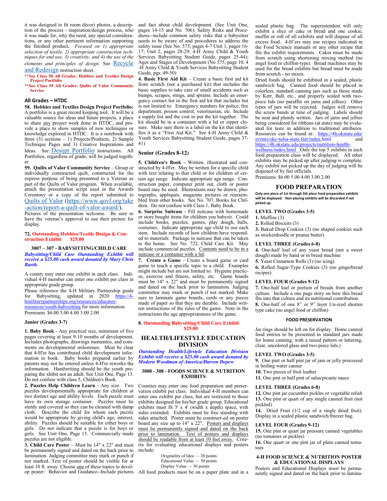it was designed to fit room décor) photos, a description of the process - inspiration/design process, who it was made for, why the need, any special considerations, or any other pertinent information supporting the finished product**.** *Focused on 1) appropriate selection of textile, 2) appropriate construction techniques for end use, 3) creativity, and 4) the use of the elements and principles of design*. See [Recycle](http://4h.okstate.edu/literature-links/lit-online/family-consumer-science/fabric/project-guide-sheets-2014/recycle-and-redesign/adc_frugal-fashion/view)  [and Redesign](http://4h.okstate.edu/literature-links/lit-online/family-consumer-science/fabric/project-guide-sheets-2014/recycle-and-redesign/adc_frugal-fashion/view) instruction sheet.

**\*\*See Class 58 All Grades: Hobbies and Textiles Design Project Portfolio**

**\*\*See Class 59 All Grades: Quilts of Valor Community Service** 

# **All Grades – HTDC**

**58. Hobbies and Textiles Design Project Portfolio:**  A portfolio is a great record keeping tool. It will be a valuable source for ideas and future projects, a place to share any project work done in HTDC, and provide a place to show samples of new techniques or knowledge explored in HTDC. It is a notebook with three  $(3)$  sections – 1) Projects/Products, 2) Sample Technique Pages and 3) Creative Inspirations and Ideas. See [Design Portfolio](file:///C:/Users/kknoepf/Desktop/Fair/Design%20Portfolio) instructions. All Portfolios, regardless of grade, will be judged together.

**59. Quilts of Valor Community Service** – Group or individually constructed quilt, constructed for the express purpose of being presented to a Veteran as part of the Quilts of Valor program. When available, attach the presentation script used in the Awards Ceremony or a copy of the report submitted to [Quilts of Valor](https://www.qovf.org/take-action/report-a-quilt-of-valor-award/) ([https://www.qovf.org/take](https://www.qovf.org/take-action/report-a-quilt-of-valor-award/) -[action/report](https://www.qovf.org/take-action/report-a-quilt-of-valor-award/)-a-quilt-of-valor-award/).

Pictures of the presentation welcome. Be sure to have the veteran's approval to use their picture for display.

# **72. Outstanding Hobbies/Textile Design & Construction Exhibit \$25.00**

### **3007 – 307 - BABYSITTING/CHILD CARE** *Babysitting/Child Care Outstanding Exhibit will receive a \$25.00 cash award donated by Mary Chris Barth.*

A county may enter one exhibit in each class. Individual 4-H member can enter one exhibit per class in appropriate grade group.

Please reference the 4-H Military Partnership guide for Babysitting, updated in 2020 https://4hmilitarypartnerships.org/resources/educatorresources/youth-babysitting for more information Premiums \$6.00 5.00 4.00 3.00 2.00

## **Junior (Grades 3-7)**

**1. Baby Book** - Any practical size, minimum of five pages covering at least 9-10 months of development. Includes photographs, drawings mementos, and comments on developmental milestones. Must be clear that 4-H'er has contributed child development information to book. Baby books prepared earlier by parents may not be entered unless 4-H'er reworks the information. Handwriting should be the youth preparing the xhibit not an adult. See Unit One, Page 13. Do not confuse with class 5, Children's Book.

**2. Puzzles Help Children Learn** - Any size. Two puzzles developmentally appropriate for children at two distinct age and ability levels. Each puzzle must have its own storage container. Puzzles must be sturdy and covered so they can be cleaned with damp cloth. Describe the child for whom each puzzle would be appropriate by giving child's age, interest, ability. Puzzles should be suitable for either boys or girls. Do not indicate that a puzzle is for boys or girls. See Unit One, Page 13. Commercially made puzzles are not eligible.

**3. Child Care Poster** – Must be 14" x 22" and must be permanently signed and dated on the back prior to lamination. Judging committee may mark or punch if not marked. Text of poster should be visible for at least 10 ft. away. Choose one of these topics to develop poster: Behavior and Guidance--Include pictures All food products must be on a paper plate and in a

and fact about child development. (See Unit One, pages 14-15 and No. 706); Safety Risks and Procedures--include common safety risks that a babysitter needs to be aware of and procedures to address the safety issue (See No. 575, pages 4-7 Unit 1, pages 16- 17; Unit 2, pages 28-29; 4-H Army Child & Youth Services Babysitting Student Guide, pages 25-44); Ages and Stages of Development (No 575, page 10, 4 -H Army Child & Youth Services Babysitting Student Guide, pgs. 49-50)

**4. Basic First Aid Kit** – Create a basic first aid kit from scratch (not a purchased kit) that includes the basic supplies to take care of small accidents such as bumps, scrapes, stings, and sprains. Include an emergency contact list in the first aid kit that includes but is not limited to: Emergency numbers for police, fire department, poison control, veterinarian, etc. Include a supply list and the cost to put the kit together. The kit should be in a container with a lid or zipper closure. Make sure there is a label on the kit that identifies it as a "First Aid Kit." See 4-H Army Child & Youth Services Babysitting Student Guide, pages 37- 41)

# **Senior (Grades 8-12)**

**5. Children's Book** - Written, illustrated and constructed by 4-H'er. May be written for a specific child with text relating to that child or for children of certain age range. Indicate appropriate age range. Construction paper, computer print out, cloth or poster board may be used. Illustrations may be drawn, photographs, appliqués, magazine pictures or reassembled from other books. See No. 707, Books for Children. Do not confuse with Class 1, Baby Book.

**6. Surprise Suitcase** - Fill suitcase with homemade or store bought items for children you babysit. Could include books, puzzles, games, play dough, balls, costumes. Indicate appropriate age child to use each item. Include records of how children have responded to materials. Package in suitcase that can be taken to the home. See No. 722, Child Care Kit. May include commercial puzzles. Contents need to be in a suitcase or a container with a lid.

**7. Create a Game** - Create a board game or card game to teach a specific topic to a child. Examples might include but are not limited to: Hygiene practices, exercise and fitness, safety, etc. Game boards must be 14" x 22" and must be permanently signed and dated on the back prior to lamination. Judging committee may mark or punch if not marked. Make sure to laminate game boards, cards or any pieces made of paper so that they are durable. Include written instructions of the rules of the game. Note in the instructions the age appropriateness of the game.

## **8. Outstanding Babysitting/Child Care Exhibit \$25.00**

# **HEALTH/LIFESTYLE EDUCATION DIVISION**

*Outstanding Health/Lifestyle Education Division Exhibit will receive a \$25.00 cash award donated by Modern Woodman of America/Darren Depew*

# **3008 - 308 - FOODS SCIENCE & NUTRITION EXHIBITS**

Counties may enter one food preparation and preservation exhibit per class. Individual 4-H members can enter one exhibit per class, but are restricted to those exhibits designed for his/her grade group. Educational exhibits must fit 3' x 4' (width x depth) space, with sides extended. Exhibits must be free standing with sides attached. Poster must be construct-ed on poster board any size up to 14" x 22". Posters and displays must be permanently signed and dated on the back prior to lamination. Text of posters and displays should be readable from at least 10 feet away. Criteria for evaluating educational displays and posters include:

> Originality of Idea — 20 points Educational Value — 50 points Display Value — 30 points

sealed plastic bag. The superintendent will only exhibit a slice of cake or bread and one cookie, muffin or roll of all exhibits and will dispose of all excess food. 4-H'ers may use recipes indicated in the Food Science manuals or any other recipe that fits the exhibit requirements. Cakes must be made from scratch using shortening mixing method (no angel food or chiffon-type). Bread machines may be used for the bread exhibits but bread must be made from scratch - no mixes.

Dried foods should be exhibited in a sealed, plastic sandwich bag. Canned food should be placed in colorless, standard canning jars such as those made by Kerr, Ball, etc., and properly sealed with twopiece lids (no paraffin on jams and jellies). Other types of jars will be rejected. Judges will remove the screw bands at time of judging. Labels should be neat and plainly written. Jars of jams and jellies being considered for ribbons (at state) may be evaluated for taste in addition to traditional attributes. Resources can be found at: https://4h.okstate.edu/ events/okc-tulsa-state-fair/index.html and https://4h.okstate.edu/projects/nutrition-health-

# wellness/index.html Only the top 5 exhibits in each

food preparation class will be displayed. All other exhibits may be picked up after judging is complete. Any exhibit not picked up the day of judging will be disposed of by fair officials. Premiums \$6.00 5.00 4.00 3.00 2.00

# **FOOD PREPARATION**

**Only one piece of 1st through 5th place food preparation exhibits will be displayed. Non-placing exhibits will be discarded if not picked up.**

#### **LEVEL TWO (Grades 3-5)**

**1.** Muffins (3)

**2.** Rolled Biscuits (3)

**3.** Baked Drop Cookies (3) (no shaped cookies such as snickerdoodle or peanut butter)

#### **LEVEL THREE (Grades 6-8)**

**4.** One-half loaf of any yeast bread (not a sweet dough) made by hand or in bread machine

**5.** Yeast Cinnamon Rolls (3) (no icing)

**6.** Rolled Sugar-Type Cookies (3) (no gingerbread recipes)

# **LEVEL FOUR (Grades 9-12)**

**7.** One-half loaf or portion of breads from another culture. Include a one page story on how this bread fits into that culture and its nutritional contribution. **8.** One-half of one 8" or 9" layer Un-iced shorten type cake (no angel food or chiffon)

#### **FOOD PRESERVATION**

Jar rings should be left on for display. Home canned food entries to be presented in standard jars made for home canning, with a raised pattern or lettering, clear, uncolored glass and two-piece lids.)

# **LEVEL TWO (Grades 3-5)**

**9.** One pint or half pint jar of jam or jelly processed in boiling water canner

- **10.** Two pieces of fruit leather
- **11.** One pint or half pint of salsa/picante sauce

#### **LEVEL THREE (Grades 6-8)**

**12.** One pint jar cucumber pickles or vegetable relish **13.** One pint or quart of any single canned fruit (not pickled)

**14.** Dried Fruit (1/2 cup of a single dried fruit). Display in a sealed plastic sandwich/freezer bag.

#### **LEVEL FOUR (Grades 9-12)**

**15.** One pint or quart jar pressure canned vegetables (no tomatoes or pickles)

**16.** One quart or one pint jar of plain canned tomatoes

#### **4-H FOOD SCIENCE & NUTRITION POSTER & EDUCATIONAL DISPLAYS**

Posters and Educational Displays must be permanently signed and dated on the back prior to lamina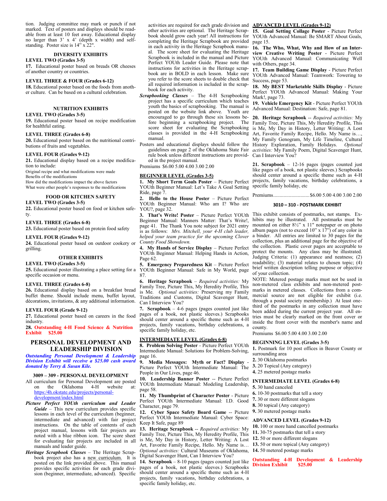tion. Judging committee may mark or punch if not marked. Text of posters and displays should be readable from at least 10 feet away. Educational display no larger than 3' x 4' (depth x width) and selfstanding. Poster size is 14" x 22".

# **DIVERSITY EXHIBITS**

**LEVEL TWO (Grades 3-5)**

**17.** Educational poster based on breads OR cheeses of another country or countries.

# **LEVEL THREE & FOUR (Grades 6-12)**

**18.** Educational poster based on the foods from another culture. Can be based on a cultural celebration.

# **NUTRITION EXHIBITS**

# **LEVEL TWO (Grades 3-5)**

**19.** Educational poster based on recipe modification for healthful eating.

# **LEVEL THREE (Grades 6-8)**

**20.** Educational poster based on the nutritional contributions of fruits and vegetables.

# **LEVEL FOUR (Grades 9-12)**

**21.** Educational display based on a recipe modification to include:

Original recipe and what modifications were made Benefits of the modifications

How did the modifications impact the above factors What were other people's responses to the modifications

# **FOOD OR KITCHEN SAFETY**

# **LEVEL TWO (Grades 3-5)**

**22.** Educational poster based on food or kitchen safety.

## **LEVEL THREE (Grades 6-8)**

**23.** Educational poster based on protein food safety

# **LEVEL FOUR (Grades 9-12)**

**24.** Educational poster based on outdoor cookery or grilling.

# **OTHER EXHIBITS**

**LEVEL TWO (Grades 3-5)**

**25.** Educational poster illustrating a place setting for a specific occasion or menu.

#### **LEVEL THREE (Grades 6-8)**

**26.** Educational display based on a breakfast bread buffet theme. Should include menu, buffet layout, décorations, invitations, & any additional information.

# **LEVEL FOUR (Grade 9-12)**

industry. **28. Outstanding 4-H Food Science & Nutrition** 

# **Exhibit \$25.00**

# **PERSONAL DEVELOPMENT AND LEADERSHIP DIVISION**

*Outstanding Personal Development & Leadership Division Exhibit will receive a \$25.00 cash award donated by Terry & Susan Kile.*

#### **3009 – 309 - PERSONAL DEVELOPMENT**

All curriculum for Personal Development are posted on the Oklahoma 4-H website at: https:/4h.okstate.edu/projects/personaldevelopment/index.html

- *Picture Perfect YOUth curriculum and Leader Guide* – This new curriculum provides specific lessons in each level of the curriculum (beginner, intermediate and advanced) with fair project instructions. On the table of contents of each project manual, lessons with fair projects are noted with a blue ribbon icon. The score sheet for evaluating fair projects are included in all manuals and leader guide.
- *Heritage Scrapbook Classes*  The Heritage Scrapbook project also has a new curriculum. It is posted on the link provided above. This manual provides specific activities for each grade division (beginner, intermediate, advanced). Specific

activities are required for each grade division and **ADVANCED LEVEL (Grades 9-12)** other activities are optional. The Heritage Scrapbook should grow each year! All instructions for completing the Heritage Scrapbook are provided in each activity in the Heritage Scrapbook manual. The score sheet for evaluating the Heritage Scrapbook is included in the manual and Picture Perfect YOUth Leader Guide. Please note that instructions for activities in the Heritage scrapbook are in BOLD in each lesson. Make sure you refer to the score sheets to double check that all required information is included in the scrapbook for each activity.

- *Scrapbooking Classes* The 4-H Scrapbooking project has a specific curriculum which teaches youth the basics of scrapbooking. The manual is posted on the website link above. Youth are encouraged to go through these six lessons before beginning a scrapbooking project. The score sheet for evaluating the Scrapbooking manual.
- Posters and educational displays should follow the guidelines on page 2 of the Oklahoma State Fair rule book unless different instructions are provid-Can I Interview You? ed in the project manual.
- Premiums \$6.00 5.00 4.00 3.00 2.00

# **BEGINNER LEVEL (Grades 3-5)**

**1. My Short Term Goals Poster** – Picture Perfect YOUth Beginner Manual: Let's Take A Goal Setting Ride, page 7.

**2. Hello to the House Poster** – Picture Perfect YOUth Beginner Manual: Who am I? Who are YOU?, page 32.

**3. That's Write! Poster** – Picture Perfect YOUth Beginner Manual: Manners Matter: That's Write!, page 41. The Thank You note subject for 2021 entry is as follows: *Mrs. Mitchell, your 4-H club leader, helped your team practice for the upcoming Clover County Food Showdown.*

**4. My Hands of Service Display** – Picture Perfect YOUth Beginner Manual: Helping Hands in Action, Page 62.

**5. Emergency Preparedness Kit** – Picture Perfect YOUth Beginner Manual: Safe in My World, page 87.

**6. Heritage Scrapbook** – *Required activities:* My Family Tree, Picture This, My Heredity Profile, This is Me. *Optional activities:* Preserving my Family Traditions and Customs, Digital Scavenger Hunt, Can I Interview You?

**27.** Educational poster based on careers in the food pages of a book, not plastic sleeves.) Scrapbooks **7. Scrapbook** – 4-6 pages (pages counted just like should center around a specific theme such as 4-H projects, family vacations, birthday celebrations, a specific family holiday, etc.

# **INTERMEDIATE LEVEL (Grades 6-8)**

**8. Problem Solving Poster** - Picture Perfect YOUth Intermediate Manual: Solutions for Problem-Solving, page 16.

**9. Media Messages: Myth or Fact? Display** - Picture Perfect YOUth Intermediate Manual: The People in Our Lives, page 46.

**10. Leadership Banner Poster** -- Picture Perfect YOUth Intermediate Manual: Modeling Leadership, page 58.

**11. My Thumbprint of Character Poster** - Picture Perfect YOUth Intermediate Manual: I.D. Good Character, page 79.

**12. Cyber Space Safety Board Game** -- Picture Perfect YOUth Intermediate Manual: Cyber Space: Keep It Safe, page 89

**13. Heritage Scrapbook** -- *Required activities:* My Family Tree, Picture This, My Heredity Profile, This is Me, My Day in History, Letter Writing: A Lost Art, Favorite Family Recipe, Hello. My Name is… *Optional activities:* Cultural Museums of Oklahoma, **14.** 50 metered postage marks Digital Scavenger Hunt, Can I Interview You?

**14. Scrapbook** – 8-10 pages (pages counted just like pages of a book, not plastic sleeves.) Scrapbooks should center around a specific theme such as 4-H projects, family vacations, birthday celebrations, a specific family holiday, etc.

**15. Goal Setting Collage Poster** - Picture Perfect YOUth Advanced Manual: Be SMART About Goals, page 15.

**16. The Who, What, Why and How of an Interview Creative Writing Poster** - Picture Perfect YOUth Advanced Manual: Communicating Well with Others, page 34.

**17. Team Building Game Display** - Picture Perfect YOUth Advanced Manual: Teamwork: Towering to Success, page 53.

**18. My BEST Marketable Skills Display** - Picture Perfect YOUth Advanced Manual: Making Your Mark!, page 73.

**19. Vehicle Emergency Kit** - Picture Perfect YOUth Advanced Manual: Destination: Safe, page 81.

score sheet for evaluating the Scrapbooking is Me, My Day in History, Letter Writing: A Lost classes is provided in the 4-H Scrapbooking Art, Favorite Family Recipe, Hello, My Name is.... **20. Heritage Scrapbook** -- *Required activities:* My Family Tree, Picture This, My Heredity Profile, This Art, Favorite Family Recipe, Hello. My Name is…, My Family Genogram, My Life Timeline, Cultural History Exploration, Family Holidays. *Optional activities:* My Family Poem, Digital Scavenger Hunt,

> **21. Scrapbook** – 12-16 pages (pages counted just like pages of a book, not plastic sleeves.) Scrapbooks should center around a specific theme such as 4-H projects, family vacations, birthday celebrations, a specific family holiday, etc

Premiums............................\$6.00 5.00 4.00 3.00 2.00

# **3010 – 310 - POSTMARK EXHIBIT**

This exhibit consists of postmarks, not stamps. Exhibits may be illustrated. All postmarks must be mounted on either 8½" x 11" notepaper or on photo album pages (not to exceed  $10"$  x  $17"$ ) of any color in a binder. All entries are limited to 30 pages for the collection, plus an additional page for the objective of the collection. Plastic cover pages are acceptable to protect the mounts. Any class may be illustrated. Judging Criteria: (1) appearance and neatness; (2) readability; (3) material relates to chosen topic; (4) brief written description telling purpose or objective of your collection.

NOTE: Metered postage marks must not be used in non-metered class exhibits and non-metered postmarks in metered classes. Collections from a commercial source are not eligible for exhibit (i.e. through a postal society membership.) At least onethird of the postmarks in any collection must have been added during the current project year. All entries must be clearly marked on the front cover or inside the front cover with the member's name and county.

Premiums \$6.00 5.00 4.00 3.00 2.00

#### **BEGINNING LEVEL (Grades 3-5)**

**1.** Postmark for 10 post offices in Beaver County or surrounding area

- **2.** 30 Oklahoma postmarks
- **3.** 20 Topical (Any category)
- 
- **4.** 25 metered postage marks

# **INTERMEDIATE LEVEL (Grades 6-8)**

- **5.** 30 hand canceled
- **6.** 10-30 postmarks that tell a story
- **7.** 30 or more different slogans
- **8.** 30 topical (Any category)
- **9.** 30 metered postage marks
- 

# **ADVANCED LEVEL (Grades 9-12)**

- **10.** 100 or more hand cancelled postmarks
- **11.** 30-75 postmarks that tell a story
- **12.** 50 or more different slogans
- **13.** 50 or more topical (Any category)
- 

**Outstanding 4-H Development & Leadership Division Exhibit**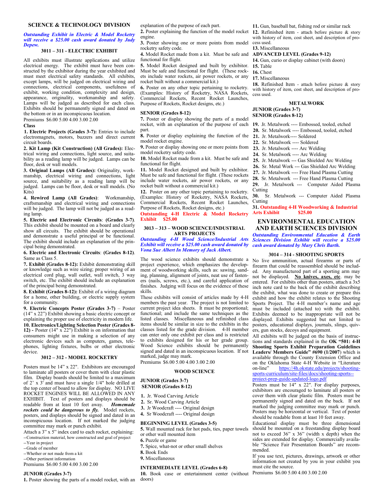#### *Outstanding Exhibit in Electric & Model Rocketry will receive a \$25.00 cash award donated by Judy Depew.*

# **3011 – 311 - ELECTRIC EXHIBIT**

All exhibits must illustrate applications and utilize electrical energy. The exhibit must have been constructed by the exhibitor during the year exhibited and must meet electrical safety standards. All exhibits, except lamps, will be judged on electrical wiring and connections, electrical components, usefulness of exhibit, working condition, complexity and design, appearance, originality, workmanship and safety. Lamps will be judged as described for each class. Exhibits should be permanently signed and dated on the bottom or in an inconspicuous location.

Premiums \$6.00 5.00 4.00 3.00 2.00

**Class**

**1. Electric Projects (Grades 3-7):** Entries to include electromagnets, motors, buzzers and direct current circuit boards.

**2. Kit Lamp (Kit Construction) (All Grades):** Electrical wiring and connections, light source, and suitability as a reading lamp will be judged. Lamps can be floor, desk or wall models.

**3. Original Lamps (All Grades):** Originality, workmanship, electrical wiring and connections, light source, and suitability as a reading lamp will be judged. Lamps can be floor, desk or wall models. (No Kits)

**4. Rewired Lamp (All Grades)**: Workmanship, craftsmanship and electrical wiring and connections will be judged. The lamp will not be judged as a reading lamp.

**5. Electric and Electronic Circuits**: **(Grades 3-7)**. This exhibit should be mounted on a board and clearly show all circuits. The exhibit should be operational and demonstrate a useful principal or be functional. The exhibit should include an explanation of the principal being demonstrated.

#### **6. Electric and Electronic Circuits**: **(Grades 8-12)**. Same as Class 5.

**7. Exhibit (Grades 8-12):** Exhibit demonstrating skill or knowledge such as wire sizing; proper wiring of an electrical cord plug, wall outlet, wall switch, 3 way switch, etc. The exhibit should include an explanation of the principal being demonstrated.

**8. Exhibit (Grades 8-12):** Exhibit of a wiring diagram for a home, other building, or electric supply system for a community.

**9. Electric Concepts Poster (Grades 3-7)** – Poster (14" x 22") Exhibit showing a basic electric concept or explaining the proper use of electricity in modern life. **10. Electronics/Lighting Selection Poster (Grades 8- 12) -** Poster (14" x 22") Exhibit is on information that consumers might use in making a selection of any electronic devices such as computers, games, telephones, lighting fixtures, bulbs or other electronic device.

#### **3012 – 312 - MODEL ROCKETRY**

Posters must be 14" x 22". Exhibitors are encouraged to laminate all posters or cover them with clear plastic film. Display boards should be limited to a maximum of 2' x 3' and must have a single 1/4" hole drilled at the top center of board to allow for display. NO LIVE ROCKET ENGINES WILL BE ALLOWED IN ANY EXHIBIT. Text of posters and displays should be readable from at least 10 feet away. *Homemade rockets could be dangerous to fly.* Model rockets, posters, and displays should be signed and dated in an inconspicuous location. If not marked the judging committee may mark or punch exhibit.

Attach a 3" x 5" index card to each rocket, explaining: --Construction material, how constructed and goal of project

- --Year in project
- --Grade of member
- --Whether or not made from a kit
- --Other pertinent information Premiums \$6.00 5.00 4.00 3.00 2.00

# **JUNIOR (Grades 3-7)**

**1.** Poster showing the parts of a model rocket, with an

explanation of the purpose of each part.

**2.** Poster explaining the function of the model rocket **12.** Refinished item - attach before picture & story engine.

**3.** Poster showing one or more points from model rocketry safety code.

**4.** Model Rocket made from a kit. Must be safe and functional for flight.

**5.** Model Rocket designed and built by exhibitor. **15.** Table Must be safe and functional for flight. (These rockets include water rockets, air power rockets, or any rocket built without a commercial kit.)

**6.** Poster on any other topic pertaining to rocketry. (Examples: History of Rocketry, NASA Rockets, Commercial Rockets, Recent Rocket Launches, Purpose of Rockets, Rocket designs, etc.)

#### **SENIOR (Grades 8-12)**

**7.** Poster or display showing the parts of a model rocket, with an explanation of the purpose of each part.

**8.** Poster or display explaining the function of the model rocket engine.

**9.** Poster or display showing one or more points from model rocketry safety code.

**10.** Model Rocket made from a kit. Must be safe and functional for flight.

**11.** Model Rocket designed and built by exhibitor. Must be safe and functional for flight. (These rockets include water rockets, air power rockets, or any rocket built without a commercial kit.)

**12.** Poster on any other topic pertaining to rocketry. (Examples: History of Rocketry, NASA Rockets, Commercial Rockets, Recent Rocket Launches, Purpose of Rockets, Rocket designs, etc.)

**Outstanding 4-H Electric & Model Rocketry Exhibit \$25.00**

#### **3013 – 313 – WOOD SCIENCE/INDUSTRIAL ARTS PROJECTS**

*Outstanding 4-H Wood Science/Industrial Arts Exhibit will receive a \$25.00 cash award donated by Vona Sue Albert In Memory of Jack Albert.*

The wood science exhibits should demonstrate a project experience, which emphasizes the development of woodworking skills, such as: sawing, sanding, planning, alignment of joints, neat use of fasteners (nails, screws, etc.), and careful application of finishes. Judging will focus on the evidence of these skills.

These exhibits will consist of articles made by 4-H members the past year. The project is not limited to current project idea sheets. It must be proportional; functional; and include the same techniques as the listed classes. Miscellaneous and refinished class items should be similar in size to the exhibits in the classes listed for the grade division. 4-H member can enter only one exhibit per class and is restricted to exhibits designed for his or her grade group. Wood Science exhibits should be permanently signed and dated in an inconspicuous location. If not marked, judge may mark.

Premiums \$6.00 5.00 4.00 3.00 2.00

#### **WOOD SCIENCE**

# **JUNIOR (Grades 3-7) SENIOR (Grades 8-12)**

- **1.** Jr. Wood Carving Article
- **2.** Sr. Wood Carving Article
- **3.** Jr Woodcraft ---- Original design
- **4.** Sr Woodcraft ---- Original design

#### **BEGINNING LEVEL (Grades 3-5)**

- **5.** Wall mounted rack for hot pads, ties, paper towels or other wall mounted item
- **6.** Puzzle or game
- **7.** Spice, what-not or other small shelves
- **8.** Book Ends
- **9.** Miscellaneous

# **INTERMEDIATE LEVEL (Grades 6-8)**

**10.** Book case or entertainment center (without Premiums \$6.00 5.00 4.00 3.00 2.00doors)

**11.** Gun, baseball bat, fishing rod or similar rack

with history of item, cost sheet, and description of process used.

**13.** Miscellaneous

# **ADVANCED LEVEL (Grades 9-12)**

**14.** Gun, curio or display cabinet (with doors)

**16.** Chest

**17.** Miscellaneous

**18.** Refinished Item - attach before picture & story with history of item, cost sheet, and description of process used.

# **METALWORK**

# **JUNIOR (Grades 3-7) SENIOR (Grades 8-12)**

- **19.** Jr. Metalwork ---- Embossed, tooled, etched
- **20.** Sr. Metalwork ---- Embossed, tooled, etched
- **21.** Jr. Metalwork---- Soldered
- **22.** Sr. Metalwork ---- Soldered
- **23.** Jr. Metalwork ---- Arc Welding
- **24.** Sr. Metalwork ---- Arc Welding
- **25.** Jr. Metalwork --- Gas Shielded Arc Welding
- **26.** Sr. Metal Work --- Gas Shielded Arc Welding
- **27.** Jr. Metalwork ---- Free Hand Plasma Cutting
- **28.** Sr. Metalwork --- Free Hand Plasma Cutting
- **29.** Jr. Metalwork --- Computer Aided Plasma Cutting

**30.** Sr. Metalwork --- Computer Aided Plasma **Cutting** 

# **31. Outstanding 4-H Woodworking & Industrial Arts Exhibit**

# **ENVIRONMENTAL EDUCATION AND EARTH SCIENCES DIVISION**

*Outstanding Environmental Education & Earth Sciences Division Exhibit will receive a \$25.00 cash award donated by Mary Chris Barth.*

# **3014 – 314 - SHOOTING SPORTS**

No live ammunition, actual firearms or parts of firearm that could be reassembled should be included. Any manufactured part of a sporting arm may not be displayed. **No knives, axes, etc**. may be entered. For exhibits other than posters, attach a 3x5 inch note card to the back of the exhibit describing the exhibit, what was done to create or prepare this exhibit and how the exhibit relates to the Shooting Sports Project. The 4-H member's name and age must be included (attached to) with the exhibit. Exhibits deemed to be inappropriate will not be displayed. Exhibits suggested but not limited to posters, educational displays, journals, slings, quivers, gun stocks, decoys and equipment.

All exhibits will be judged on the basis of instructions and standards explained in the **OK "501: 4-H Shooting Sports Exhibit Preparation Guidelines Leaders/ Members Guide" #690 (1/2007**) which is available through the County Extension Office and on the Oklahoma State 4-H Website in "Literature<br>on-line" https://4h okstate.edu/projects/shooting[https://4h.okstate.edu/projects/shooting](http://4h.okstate.edu/literature-links/lit-online/others/shooting)sports-curriculum/site-[files/docs/shooting](http://4h.okstate.edu/literature-links/lit-online/others/shooting)-sports- project-prep-guide-updated-[logo.pdf](http://4h.okstate.edu/literature-links/lit-online/others/shooting)

Posters must be 14″ x 22″. For display purposes, exhibitors are encouraged to laminate all posters or cover them with clear plastic film. Posters must be permanently signed and dated on the back. If not marked the judging committee may mark or punch. Posters may be horizontal or vertical. Text of poster should be readable from at least 10 feet away.

Educational display must be three dimensional should be mounted on a freestanding display board not to exceed 36" x 36" (width x depth) when the sides are extended for display. Commercially available "Science Fair Presentation Boards" are recommended.

If you use text, pictures, drawings, artwork or other information not created by you in your exhibit you must cite the source.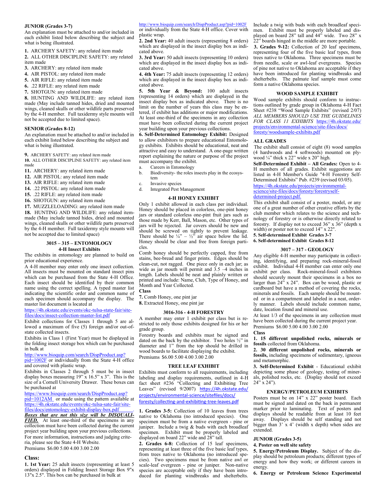#### **JUNIOR (Grades 3-7)**

An explanation must be attached to and/or included in each exhibit listed below describing the subject and what is being illustrated.

**1.** ARCHERY SAFETY: any related item made

**2.** ALL OTHER DISCIPLINE SAFETY: any related item made

- **3.** ARCHERY: any related item made
- **4.** AIR PISTOL: any related item made
- **5.** AIR RIFLE: any related item made

**6.** .22 RIFLE: any related item made

**7.** SHOTGUN: any related item made

**8.** HUNTING AND WILDLIFE: any related item made (May include tanned hides, dried and mounted wings, cleaned skulls or other wildlife parts preserved by the 4-H member. Full taxidermy style mounts will not be accepted due to limited space).

## **SENIOR (Grades 8-12)**

An explanation must be attached to and/or included in each exhibit listed below describing the subject and what is being illustrated.

**9.** ARCHERY SAFETY: any related item made **10.** ALL OTHER DISCIPLINE SAFETY: any related item

made

**11.** ARCHERY: any related item made

**12.** AIR PISTOL: any related item made

- **13.** AIR RIFLE: any related item made
- **14.** .22 PISTOL: any related item made
- **15.** .22 RIFLE: any related item made
- **16.** SHOTGUN: any related item made

**17.** MUZZLELOADING: any related item made

**18.** HUNTING AND WILDLIFE: any related itemmade (May include tanned hides, dried and mounted wings, cleaned skulls or other wildlife parts preserved by the 4-H member. Full taxidermy style mounts will not be accepted due to limited space)

# **3015 – 315 – ENTOMOLOGY**

# **4-H Insect Exhibits**

The exhibits in entomology are planned to build on prior educational experience.

A 4-H member may enter only one insect collection. All insects must be mounted on standard insect pins which can be purchased from the State 4-H Office. Each insect should be identified by their common name using the correct spelling. A typed master list indicating the scientific order and common name of each specimen should accompany the display. The master list document is located at

#### https://4h.okstate.edu/events/okc-tulsa-state-fair/sitefiles/docs/insect-collection-master-list.pdf

Exhibit collections for Classes 1 through 5 are allowed a maximum of five (5) foreign and/or out-ofstate collected insects.

Exhibits in Class 1 (First Year) must be displayed in the folding insect storage box which can be purchased in bulk at

[http://www.bioquip.com/search/DispProduct.asp?](http://www.bioquip.com/search/DispProduct.asp?pid=1002F)

[pid=1002F](http://www.bioquip.com/search/DispProduct.asp?pid=1002F) or individually from the State 4-H office and covered with plastic wrap.

Exhibits in Classes 2 through 5 must be in insect display boxes measuring 19" x 16.5" x 3". This is the size of a Cornell University Drawer. These boxes can be purchased at

[https://www.bioquip.com/search/DispProduct.asp?](http://www.bioquip.com/search/DispProduct.asp?pid=1012AM) [pid=1012AM](http://www.bioquip.com/search/DispProduct.asp?pid=1012AM) or made using the pattern available at [https://4h.okstate.edu/events/okc](http://4h.okstate.edu/events-and-activities/state-events-activities/oklahoma-state-fairs/ENTOMOLOGYEXHIBITDISPLAYBOX.pdf)-tulsa-sate-fair/site[files/docs/entomology](http://4h.okstate.edu/events-and-activities/state-events-activities/oklahoma-state-fairs/ENTOMOLOGYEXHIBITDISPLAYBOX.pdf)-exhibit-display-box.pdf .

*Boxes that are not this size will be DISQUALI-***FIED.** At least one-third of the specimens in any collection must have been collected during the current project year building upon your previous collections. For more information, instructions and judging criteria, please see the State 4-H Website. Premiums \$6.00 5.00 4.00 3.00 2.00

#### **Class:**

**1. 1st Year:** 25 adult insects (representing at least 5 orders) displayed in Folding Insect Storage Box 9"x 13"x 2.5". This box can be purchased in bulk at

# http://www.bioquip.com/search/DispProduct.asp?pid=1002F

or individually from the State 4-H office. Cover with plastic wrap.

**2. 2nd Year:** 40 adult insects (representing 8 orders) which are displayed in the insect display box as indicated above.

**3. 3rd Year:** 50 adult insects (representing 10 orders) which are displayed in the insect display box as indicated above.

**4. 4th Year:** 75 adult insects (representing 12 orders) which are displayed in the insect display box as indicated above.

**5. 5th Year & Beyond:** 100 adult insects (representing 14 orders) which are displayed in the insect display box as indicated above. There is no limit on the number of years this class may be entered, if exhibit has additions or major modifications. At least one-third of the specimens in any collection must have been collected during the current project year building upon your previous collections.

**6. Self-Determined Entomology Exhibit:** Designed to allow exhibitors to prepare educational Entomology exhibits. Exhibits should be educational, neat and attractive and easy to understand. A one-page written report explaining the nature or purpose of the project must accompany the exhibit.

- a. Careers in Entomology
- b. Biodiversity- the roles insects play in the ecosystem
- c. Invasive species
- d. Integrated Pest Management

#### **4-H HONEY EXHIBIT**

Only 1 exhibit allowed in each class per individual. Honey should be placed in colorless, one-pint honey jars or standard colorless one-pint fruit jars such as those made by Kerr, Ball, Mason, etc. Other types of jars will be rejected. Jar covers should be new and should be screwed on tightly to prevent leakage. There should be  $\frac{1}{4}$  –  $\frac{1}{2}$  air space below the lid. Honey should be clear and free from foreign particles.

Comb honey should be perfectly capped, free from stains, bee-bread and finger prints. Edges should be clean-cut, not ragged. One piece only in each jar; as wide as jar mouth will permit and  $3.5 -4$  inches in length. Labels should be neat and plainly written or printed and include: Name, Club, Type of Honey, and Month and Year Collected.

**Class**

**7.** Comb Honey, one pint jar

**8.** Extracted Honey, one pint jar

#### **3016-316 - 4-H FORESTRY**

A member may enter 1 exhibit per class but is restricted to only those exhibits designed for his or her grade group.

Forestry boards and exhibits must be signed and dated on the back by the exhibitor. Two holes ½" in diameter and 1" from the top should be drilled in wood boards to facilitate displaying the exhibit. Premiums \$6.00 5.00 4.00 3.00 2.00

#### **TREE LEAF EXHIBIT**

Exhibits must conform to all requirements, including labeling and display requirements, outlined in 4-H fact sheet #236 "Collecting and Exhibiting Tree Leaves" (revised 9/2007) https://4h.okstate.edu/ projects/environmental-science/sitefiles/docs/ foresty/collecting-and-exhibiting-tree-leaves.pdf

**1. Grades 3-5:** Collection of 10 leaves from trees native to Oklahoma (no introduced species). One specimen must be from a native evergreen - pine or juniper. Include a twig & buds with each broadleaf specimen. Exhibit must be properly labeled and displayed on board 22" wide and 28" tall.

**2. Grades 6-8:** Collection of 15 leaf specimens, representing at least three of the five basic leaf types, from trees native to Oklahoma (no introduced species). Two specimens must be from native awl or scale-leaf evergreen - pine or juniper. Non-native species are acceptable only if they have been introduced for planting windbreaks and shelterbelts.

Include a twig with buds with each broadleaf specimen. Exhibit must be properly labeled and displayed on board 28" tall and 44" wide. Two 28" x 22" boards hinged in the middle are more portable.

**3. Grades 9-12:** Collection of 20 leaf specimens, representing four of the five basic leaf types, from trees native to Oklahoma. Three specimens must be from needle, scale or awl-leaf evergreens. Species of pine not native to Oklahoma are acceptable if they have been introduced for planting windbreaks and shelterbelts. The palmate leaf sample must come form a native Oklahoma species.

# **WOOD SAMPLE EXHIBIT**

Wood sample exhibits should conform to instructions outlined by grade group in Oklahoma 4-H Fact Sheet #238 "Wood Sample Exhibits" (revised 2/07) *ALL MEMBERS SHOULD USE THE GUIDELINES FOR CLASS 11 EXHIBITS* https://4h.okstate.edu/ projects/environmental-science/site-files/docs/ foresty/woodsample-exhibits.pdf

#### **ALL GRADES**

The exhibit shall consist of eight (8) wood samples (4 hardwoods and 4 softwoods) mounted on plywood  $\frac{1}{4}$ " thick x 22" wide x 20" high.

**Self-Determined Exhibit – All Grades:** Open to 4- H members of all grades. Exhibit suggestions are listed in 4-H Member's Guide "4-H Forestry Self-Determined Exhibits" Pub. #239 (revised 03/05). https://4h.okstate.edu/projects/environmentalscience/site-files/docs/foresty/forestryselfdetermined-project.pdf.

This exhibit shall consist of a poster, model, or any one of a great number of other creative efforts by the club member which relates to the science and technology of forestry or is otherwise directly related to forestry. If display not to exceed  $36$ " x  $36$ " (depth x width) or poster not to exceed 14" x 22".

#### **5. Self-determined Exhibit Grades 3-7**

**6. Self-determined Exhibit Grades 8-12**

# **3017 – 317 - GEOLOGY**

Any eligible 4-H member may participate in collecting, identifying, and preparing rock-mineral-fossil exhibit. Individual 4-H member can enter only one exhibit per class. Rock-mineral-fossil exhibitors should securely mount their specimens in a box no larger than  $24$ <sup>"</sup> x  $24$ ". Box can be wood, plastic or cardboard but have a method of covering the rocks, minerals and fossils. Each sample should be mounted or in a compartment and labeled in a neat, orderly manner. Labels should include common name, date, location found and mineral use.

At least 1/3 of the specimens in any collection must have been collected during the current project year. Premiums \$6.00 5.00 4.00 3.00 2.00

#### **Class**

**1. 15 different unpolished rocks, minerals or fossils** collected from Oklahoma.

**2. 30 different unpolished rocks, minerals or fossils,** including specimens of sedimentary, igneous and metamorphic.

**3. Self-Determined Exhibit** - Educational exhibit depicting some phase of geology, testing of minerals, polished rocks, etc. (Display should not exceed  $24" x 24"$ ).

## **ENERGY/PETROLEUM EXHIBITS**

Posters must be on 14" x 22" poster board. Each must be signed and dated on the back in permanent marker prior to laminating. Text of posters and displays should be readable from at least 10 feet away. Displays should be self standing and not bigger than  $3'$  x 4' (width x depth) when sides are extended.

## **JUNIOR (Grades 3-5)**

# **4. Poster on well site safety**

**5. Energy/Petroleum Display.** Subject of the display should be petroleum products; different types of energy and how they work; or different careers in energy.

**6. Energy or Petroleum Science Experimental**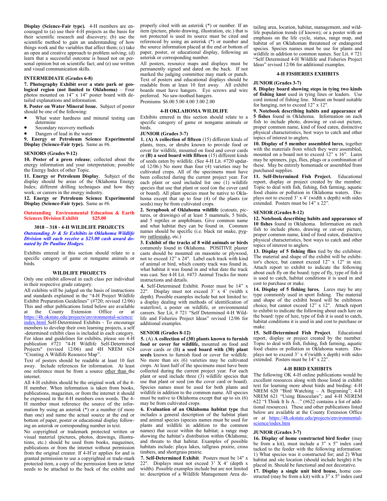**Display (Science-Fair type).** 4-H members are encouraged to (a) use their 4-H projects as the basis for their scientific research and discovery; (b) use the scientific method to gain an understanding of how things work and the variables that affect them; (c) take an open and creative approach to problem solving; (d) learn that a successful outcome is based not on personal opinion but on scientific fact; and (e) use written and visual communication skills.

#### **INTERMEDIATE (Grades 6-8)**

**7. Photography Exhibit over a state park or geological region (not limited to Oklahoma)** – Four photos mounted on 14" x 14" poster board with detailed explanations and information.

**8. Poster on Water Mineral Issue.** Subject of poster should be one of the following:

- What water hardness and mineral testing can determine
- Secondary recovery methods
- Dangers of lead in the water

**9. Energy or Petroleum Science Experimental Display (Science-Fair type).** Same as #6.

# **SENIORS (Grades 9-12)**

**10. Poster of a press release**; collected about the energy information and your interpretation; possible the Energy Index of other Topic.

**11. Energy or Petroleum Display**. Subject of the display should be areas of the Oklahoma Energy Index; different drilling techniques and how they work; or careers in the energy industry.

**12. Energy or Petroleum Science Experimental Display (Science-Fair type).** Same as #6.

**Outstanding Environmental Education & Earth Sciences Division Exhibit** 

#### **3018 – 318 - 4-H WILDLIFE PROJECTS** *Outstanding Jr & Sr Exhibits in Oklahoma Wildlife Division will each receive a \$25.00 cash award donated by Dr Pauline Hodges.*

Exhibits entered in this section should relate to a specific category of game or nongame animals or birds.

# **WILDLIFE PROJECTS**

Only one exhibit allowed in each class per individual in their respective grade category.

All exhibits will be judged on the basis of instructions and standards explained in the "4-H Project Wildlife Exhibit Preparation Guidelines" (#720; revised 12/06) This and other publications listed below are available at the County Extension Office or at https://4h.okstate.edu/projects/environmental-science/ index.html Self-Determined Exhibits - To encourage members to develop their own learning projects, a self -determined exhibit class is included in each category. For ideas and guidelines for exhibits, please see 4-H publication #721 "4-H Wildlife Self-Determined Projects" (revised 12/06) and 4H NREM 624 "Creating A Wildlife Resource Map".

Text of posters should be readable at least 10 feet away. Include references for information. At least one reference must be from a source other than the internet.

All 4-H exhibits should be the original work of the 4- H member. When information is taken from books, publications, magazines, or from the internet it should be expressed in the 4-H members own words. The 4- H member must reference the source of the information by using an asterisk (\*) or a number (if more than one) and name the actual source at the end or bottom of paper, poster or educational display following an asterisk or corresponding number in text.

No copyrighted or trademark protected written or visual material (pictures, photos, drawings, illustrations, etc.) should be used from books, magazines, publications or from the internet without permission from the original creator. If 4-H'er applies for and is granted permission to use a copyrighted or trade-mark protected item, a copy of the permission form or letter needs to be attached to the back of the exhibit and properly cited with an asterisk (\*) or number. If an item (picture, photo drawing, illustration, etc.) that is not protected is used its source must be cited and referenced by using an asterisk (\*) or number and the source information placed at the end or bottom of paper, poster, or educational display, following an asterisk or corresponding number.

All posters, resource maps and displays must be permanently signed and dated on the back. If not marked the judging committee may mark or punch. Text of posters and educational displays should be readable from at least 10 feet away. All exhibit boards must have hangers. Eye screws and wire preferred. No saw-toothed hangers.

Premiums \$6.00 5.00 4.00 3.00 2.00

# **4-H OKLAHOMA WILDLIFE**

Exhibits entered in this section should relate to a specific category of game or nongame animals or birds.

#### **JUNIOR (Grades 3-7)**

**1. (A) A collection of fifteen** (15) different kinds of plants, trees, or shrubs known to provide food or cover for wildlife, mounted on food and cover cards or **(B) a seed board with fifteen** (15) different kinds of seeds eaten by wildlife. (See 4-H Lit. #720 updated 12/06.) No more than four (4) varieties may be cultivated crops. All of the specimens must have been collected during the current project year. For each plant or seed included list one (1) wildlife species that use that plant or seed (on the cover card or board). All plant species must be native to Oklahoma except that up to four (4) of the plants (or seeds) may be from cultivated crops.

**2. Scrapbook of Oklahoma wildlife** (cutouts, pictures, or drawings) of at least 5 mammals, 5 birds, and 5 reptiles or amphibians. Give common name and what habitat they can be found in. Common names should be specific (i.e. black rat snake, pygmy rattlesnake, etc.)

**3. Exhibit of the tracks of 8 wild animals or birds** commonly found in Oklahoma. POSITIVE plaster casts should be mounted on masonite or plywood, not to exceed 12" x 24". Label each track with kind of animal or bird, which county track was found in, what habitat it was found in and what date the track was cast. See 4-H Lit. #473 Animal Tracks for more instructions and details.

**4.** Self-Determined Exhibit. Poster must be 14" x 22". Display must not exceed 3' x 4' (width x depth). Possible examples include but not limited to: a display dealing with methods of identification of waterfowl, a poster on wildlife, or environmental careers. See Lit, # 721 "Self Determined 4-H Wildlife and Fisheries Project Ideas" revised 12/06 for additional examples.

#### **SENIOR (Grades 8-12)**

**5.** (A) **A collection of (30) plants known to furnish food or cover for wildlife,** mounted on food and cover cards or (B**) a seed board with (30) plant seeds** known to furnish food or cover for wildlife. No more than six (6) varieties may be cultivated crops. At least half of the specimens must have been collected during the current project year. For each plant or seed include three  $(3)$  wildlife species that use that plant or seed (on the cover card or board). Species names must be used for both plants and wildlife in addition to the common name. All species must be native to Oklahoma except that up to  $\sin(6)$ may be from cultivated crops.

**6. Evaluation of an Oklahoma habitat type** that includes a general description of the habitat plant and animal species (species names must be used for plants and wildlife in addition to the common names) that occur within the habitat; a range map showing the habitat's distribution within Oklahoma; and threats to that habitat. Examples of possible habitats include: playa lakes, tallgrass prairie, cross timbers, and shortgrass prairie.

**7. Self-Determined Exhibit**. Posters must be 14" x 22". Displays must not exceed 3' X 4' (depth x width). Possible examples include but are not limited to: description of a Wildlife Management Area detailing area, location, habitat, management, and wildlife population trends (if known); or a poster with an emphasis on the life cycle, status, range map, and habitat of an Oklahoman threatened or endangered species. Species names must be use for plants and wildlife in addition to common names. See Lit. # 721 "Self Determined 4-H Wildlife and Fisheries Project Ideas" revised 12/06 for additional examples.

#### **4-H FISHERIES EXHIBITS**

#### **JUNIOR (Grades 3-7)**

**8. Display board showing steps in tying two kinds of fishing knot** used in tying lines or leaders. Use cord instead of fishing line. Mount on board suitable for hanging, not to exceed 12" x 12".

**9. Notebook describing habits and appearance of 5 fishes** found in Oklahoma. Information on each fish to include photo, drawing or cut-out picture, proper common name, kind of food eaten, distinctive physical characteristics, best ways to catch and other topics of interest to anglers.

**10. Display of 5 member assembled lures**, together with the materials from which they were assembled, mounted on a board not to exceed 12" x 16". Lures may be spinners, jigs, flies, plugs or a combination of these. May be entirely homemade or assembled from purchased supplies.

**11. Self-Determined Fish Project.** Educational report, display or project created by the member. Topic to deal with fish, fishing, fish farming, aquatic food chains or pollution in Oklahoma waters. Displays not to exceed 3' x 4' (width x depth) with sides extended. Posters must be 14" x 22".

## **SENIOR (Grades 8-12)**

**12. Notebook describing habits and appearance of 10 fishes** found in Oklahoma. Information on each fish to include photo, drawing or cut-out picture, proper common name, kind of food eaten, distinctive physical characteristics, best ways to catch and other topics of interest to anglers.

**13. Display of 5 fishing flies** tied by the exhibitor. The material and shape of the exhibit will be exhibitor's choice, but cannot exceed 12" x 12" in size. Attach report to exhibit to indicate the following about each fly on the board: type of fly, type of fish it is used to catch, habitat conditions it is used in and cost to purchase or make.

**14. Display of 5 fishing lures.** Lures may be any type commonly used in sport fishing. The material and shape of the exhibit board will be exhibitors choice, but cannot exceed 12" x 12". Attach report to exhibit to indicate the following about each lure on the board: type of lure, type of fish it is used to catch, habitat conditions it is used in and cost to purchase or make.

**15. Self-Determined Fish Project**. Educational report, display or project created by the member. Topic to deal with fish, fishing, fish farming, aquatic food chains or pollution in Oklahoma waters. Displays not to exceed  $3'$  x 4'(width x depth) with sides extended. Posters must be 14" x 22".

## **4-H BIRD EXHIBITS**

The following OK 4-H online publications would be excellent resources along with those listed in exhibit text for learning more about birds and birding: 4-H NREM 620 "Bird Watching – A Beginning"; 4-H NREM 621 "Using Binoculars"; and 4-H NEREM 622 "I Think It Is  $\tilde{A}$ ..." (#622 contains a list of additional resources). These and other publications listed below are available at the County Extension Office or at https://4h.okstate.edu/projects/environmentalscience/index.htm

# **JUNIOR (Grades 3-7)**

**16. Display of home constructed bird feeder** (may be from a kit), must include a 3" x 5" index card tacked to the feeder with the following information: 1) What species was it constructed for; and 2) What habitat and site location (should include height) it be placed in. Should be functional and not decorative.

**17. Display a single unit bird house,** home constructed (may be from a kit) with a  $3"$  x  $5"$  index card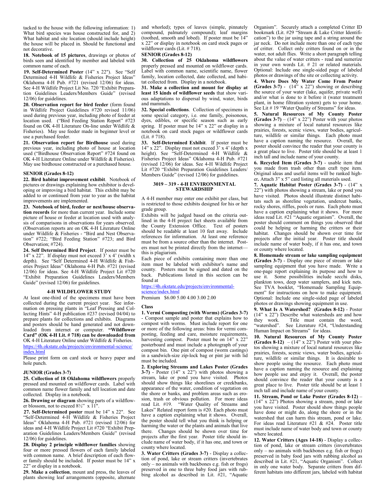tacked to the house with the following information: 1) What bird species was house constructed for, and 2) What habitat and site location (should include height) the house will be placed in. Should be functional and not decorative.

**18. Notebook of 15 pictures**, drawings or photos of birds seen and identified by member and labeled with common name of each.

**19. Self-Determined Poster** (14" x 22"). See "Self Determined 4-H Wildlife & Fisheries Project Ideas" Oklahoma 4-H Pub. #721 (revised 12/06) for ideas. See 4-H Wildlife Project Lit No. 720 "Exhibit Preparation Guidelines Leaders/Members Guide" (revised 12/06) for guidelines.

**20. Observation report for bird feeder** (form found in Wildlife Project Guidelines #720 revised 11/06) used during previous year, including photo of feeder at location used. ("Bird Feeding Station Report" #723 found on OK 4-H Literature On-line under Wildlife & Fisheries). May use feeder made in beginner level or use a purchased feeder.

**21. Observation report for Birdhouse** used during previous year, including photo of house at location used ("Birdhouse Observation Report" #724 found on OK 4-H Literature Online under Wildlife & Fisheries). May use birdhouse constructed or a purchased house.

#### **SENIOR (Grades 8-12)**

**22. Bird habitat improvement exhibit**. Notebook of pictures or drawings explaining how exhibitor is developing or improving a bird habitat. This exhibit may be added to or continued from year to year as the habitat improvements are implemented.

**23. Notebook of bird, feeder or nest/house observation records** for more than current year. Include some picture of house or feeder at location used with analysis of comparisons in observations for years observed. (Observation reports are on OK 4-H Literature Online under Wildlife & Fisheries - "Bird and Nest Observation" #722; "Bird Feeding Station" #723; and Bird Observation; #724).

**24. Self Determined Bird Project**. If poster must be 14" x 22". If display must not exceed  $3'$  x 4' (width x depth). See "Self Determined 4-H Wildlife & Fisheries Project Ideas" Oklahoma 4-H Pub. #721 (revised 12/06) for ideas. See 4-H Wildlife Project Lit #720 "Exhibit Preparation Guidelines Leaders/Members Guide" (revised 12/06) for guidelines.

# **4-H WILDFLOWER STUDY**

At least one-third of the specimens must have been collected during the current project year. See information on pressing plants in "Leaf Pressing and Collecting Hints" 4-H publication #237 (revised 04/04) to prepare plants for collections and exhibits. Diagrams and posters should be hand generated and not downloaded from internet or computer. **"Wildflower Card" (OK 4-H Lit. # 718) can be downloaded from**  OK 4-H Literature Online under Wildlife & Fisheries.

https://4h.okstate.edu/projects/environmental-science/ index.html

Please print form on card stock or heavy paper and hole punch.

#### **JUNIOR (Grades 3-7)**

**25. Collection of 18 Oklahoma wildflowers** properly pressed and mounted on wildflower cards. Label with common name flower family and tell location and date collected. Display in a notebook.

**26. Drawing or diagram** showing parts of a wildflower blossom, not to exceed 8½" x 11".

**27. Self-Determined poster** must be 14" x 22". See "Self-Determined 4-H Wildlife & Fisheries Project Ideas" Oklahoma 4-H Pub. #721 (revised 12/06) for ideas and 4-H Wildlife Project Lit #720 "Exhibit Preparation Guidelines Leaders/Members Guide" (revised 12/06) for guidelines.

**28. Display 2 principle wildflower families** showing four or more pressed flowers of each family labeled with common name. A brief description of each flower family should be included. If poster must be 14" x 22" or display in a notebook.

**29. Make a collection**, mount and press, the leaves of plants showing leaf arrangements (opposite, alternate

and whorled); types of leaves (simple, pinnately compound, palmately compound); leaf margins (toothed, smooth and lobed). If poster must be 14" x 22" or display in notebook on card stock pages or wildflower cards (Lit. # 718).

# **SENIOR (Grades 8-12)**

**30. Collection of 25 Oklahoma wildflowers** properly pressed and mounted on wildflower cards. Label with common name, scientific name, flower family, location collected, date collected, and habitat collected from. Display in a notebook.

**31. Make a collection and mount for display at least 15 kinds of wildflower seeds** that show various adaptations to dispersal by wind, water, birds and mammals.

**32. Special collections**. Collection of specimens in some special category, i.e. one family, poisonous, dyes, edibles, or specific season such as early spring. If poster must be 14" x 22" or display in a notebook on card stock pages or wildflower cards (Lit. # 718).

**33. Self-Determined Exhibit**. If poster must be 14" x 22". Display must not exceed 3' x 4' (depth x height). See "Self-Determined 4-H Wildlife & Fisheries Project Ideas" Oklahoma 4-H Pub. #721 (revised 12/06) for ideas. See 4-H Wildlife Project Lit #720 "Exhibit Preparation Guidelines Leaders/ Members Guide" (revised 12/06) for guidelines.

# **3019 – 319 - 4-H ENVIRONMENTAL STEWARDSHIP**

A 4-H member may enter one exhibit per class, but is restricted to those exhibits designed for his or her grade group.

Exhibits will be judged based on the criteria outlined in the 4-H project fact sheets available from the County Extension Office. Text of posters should be readable at least 10 feet away. Include references for information. At least one reference must be from a source other than the internet. Posters must not be printed directly from the internet this is plagiarism.

Each piece of exhibits containing more than one item must be labeled with exhibitor's name and county. Posters must be signed and dated on the back. Publications listed in this section can be found at

https://4h.okstate.edu/projects/environmentalscience/index.html

Premium \$6.00 5.00 4.00 3.00 2.00

#### **Class**

**1. Vermi Composting (with Worms) (Grades 3-7)** - Compost sample and poster that explains how to compost with worms. Must include report for one or more of the following areas: bins for vermi composting, feeding and care, moisture requirements, harvesting compost. Poster must be on 14" x 22" posterboard and must include a photograph of your compost bin. One pint of compost (worm castings) in a sandwich-size zip-lock bag or pint jar with lid must be included.

**2. Exploring Streams and Lakes Poster (Grades 3-7)** - Poster (14" x 22") with photos showing a stream, lake or pond you have visited. Photos should show things like shorelines or creekbanks, appearance of the water, condition of vegetation on the shore or banks, and problem areas such as erosion, trash or obvious pollution. For more ideas read Lit. #19. "Water Quality of Streams and Lakes" Related report form is  $#20$ . Each photo must have a caption explaining what it shows. Overall, the poster should tell what you think is helping or harming the water or the plants and animals that live there. Changes should be shown over time for projects after the first year. Poster title should include name of water body, if it has one, and town or county where located.

**3. Water Critters (Grades 3-7)** - Display a collection of pond, lake or stream critters (invertebrates only – no animals with backbones e.g. fish or frogs) preserved in one to three baby food jars with rubbing alcohol as described in Lit.  $\#21$ . "Aquatic

Organism". Securely attach a completed Critter ID bookmark (Lit. #29 "Stream & Lake Critter Identification") to the jar using tape and a string around the jar neck. Do not include more than one of each type of critter. Collect only critters found on or in the water, not adult flies. Write a short paragraph telling about the value of water critters - read and sumerize in your own words Lit. # 21 or related materials. Optional: Include one single-sided page of labeled photos or drawings of the site or collecting activity.

**4. Where Does My Water Come From Poster (Grades 3-7)** - (14" x 22") showing or describing the source of your water (lake, aquifer, private well) and/or what is done to it before it (water treatment plant, in home filtration system) gets to your home. See Lit # 19 "Water Quality of Streams" for ideas.

**5. Natural Resources of My County Poster (Grades 3-7)** –  $(14" \times 22")$  Poster with your photos showing a mixture of local natural resources like prairies, forests, scenic views, water bodies, agriculture, wildlife or similar things. Each photo must have a caption naming the resource. Overall, the poster should convince the reader that your county is a great place to live. Poster title should be at least 1 inch tall and include name of your county.

**6. Recycled Item (Grades 3-7)** - usable item that you made from trash other than craft type item. Original ideas and useful items will be ranked higher**.** Attach 3" x 5" card listing all materials used.

**7. Aquatic Habitat Poster (Grades 3-7)** - (14" x 22") with photos showing a stream, lake or pond you have visited. Photos should illustrate distinct habitats such as shoreline vegetation, undercut banks, rocky shores, riffles, pools or runs. Each photo must have a caption explaining what it shows. For more ideas read Lit. #21 "Aquatic organism". Overall, the poster should comment on things you observed that could be helping or harming the critters or their habitat. Changes should be shown over time for projects after the initial year. Poster title should include name of water body, if it has one, and town or county where located.

**8. Homemade stream or lake sampling equipment (Grades 3-7)** - Display one piece of stream or lake sampling equipment that you have made. Write a one-page report explaining its purpose and how to use it. Some possibilities include secchi disks, plankton tows, deep water samplers, and kick nets. See TVA booklet, "Homemade Sampling Equipment" for instructions on how to make equipment. Optional: Include one single-sided page of labeled photos or drawings showing equipment in use.

**9. What Is A Watershed? (Grades 8-12)** - Poster  $(14" x 22")$  Describe what watersheds are and how<br>they work. Title must contain the word, Title must contain the word, "watershed". See Literature #24, "Understanding Human Impact on Streams" for ideas.

**10. Natural Resources of My County Poster (Grades 8-12)**  $- (14" \times 22")$  Poster with your photos showing a mixture of local natural resources like prairies, forests, scenic views, water bodies, agriculture, wildlife or similar things. It is desirable to show people using the resource. Each photo must have a caption naming the resource and explaining how people use and enjoy it. Overall, the poster should convince the reader that your county is a great place to live. Poster title should be at least 1 inch tall and include name of your county.

**11. Stream, Pond or Lake Poster (Grades 8-12)** – (14" x 22") Photos showing a stream, pond or lake you have visited. Poster should show things people have done or might do, along the shore or in the watershed that can harm this stream, pond or lake. For ideas read Literature #21 & #24. Poster title must include name of water body and town or county where located.

**12. Water Critters (Ages 14-18)** - Display a collection of pond, lake or stream critters (invertebrates only – no animals with backbones e.g. fish or frogs) preserved in baby food jars with rubbing alcohol as described in Lit. #21, "Aquatic Organism". Collect in only one water body. Separate critters from different habitats into different jars, labeled with habitat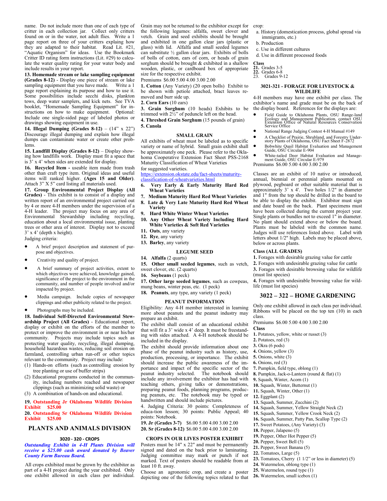name. Do not include more than one of each type of critter in each collection jar. Collect only critters found on or in the water, not adult flies. Write a 1 page report on three of your critters explaing how they are adapted to their habitat. Read Lit. #21, "Aquatic Organism" for ideas. Use the Bookmark Critter ID rating form instructions (Lit. #29) to calculate the water quality rating for your water body and include results in your report.

**13. Homemade stream or lake sampling equipment (Grades 8-12)** - Display one piece of stream or lake sampling equipment that you have made. Write a 1 page report explaining its purpose and how to use it. Some possibilities include secchi disks, plankton tows, deep water samplers, and kick nets. See TVA booklet, "Homemade Sampling Equipment" for instructions on how to make equipment. Optional: Include one single-sided page of labeled photos or drawings showing equipment in use.

**14. Illegal Dumping (Grades 8-12)** – (14" x 22") Discourage illegal dumping and explain how illegal dumps can contaminate water or create other problems.

**15. Landfill Display (Grades 8-12)** – Display showing how landfills work. Display must fit a space that is 3' x 4' when sides are extended for display.

**16. Recycled Item -** useable item made from trash other than craft type item. Original ideas and useful items will ranked higher. **(Ages 15 and Older)**. Attach 3" X 5" card listing all materials used.

**17. Group Environmental Project Display (All Grades)** - This exhibit is to consist of a display and written report of an environmental project carried out by 4 or more 4-H members under the supervision of a 4-H leader. The project may focus on any area of Environmental Stewardship including recycling, education about a local environmental issue, planting trees or other area of interest. Display not to exceed 3' x 4' (depth x height).

Judging criteria:

- A brief project description and statement of purpose and objectives.
- Creativity and quality of project.
- A brief summary of project activities, extent to which objectives were achieved, knowledge gained, significance of the project to the environment in the community, and number of people involved and/or impacted by project.
- Media campaign. Include copies of newspaper clippings and other publicity related to the project.
- Photographs may be included.

**18. Individual Self-Directed Environmental Stewardship Project (All Grades)** - Educational report, display or exhibit on the efforts of the member to protect or improve the environment in or near his/her community. Projects may include topics such as protecting water quality, recycling, illegal dumping, household hazardous wastes, reducing soil erosion on farmland, controlling urban run-off or other topics relevant to the community. Project may include:

- (1) Hands-on efforts (such as controlling erosion by tree planting or use of buffer strips)
- (2) Educational programs conducted in the community, including numbers reached and newspaper clippings (such as minimizing solid waste) or
- (3) A combination of hands-on and educational.

#### **19. Outstanding Jr Oklahoma Wildlife Division Exhibit \$25.00**

## **20. Outstanding Sr Oklahoma Wildlife Division Exhibit \$25.00**

#### **PLANTS AND ANIMALS DIVISION**

#### **3020 - 320 - CROPS**

*Outstanding Exhibit in 4-H Plants Division will receive a \$25.00 cash award donated by Beaver County Farm Bureau Board.*

All crops exhibited must be grown by the exhibitor as part of a 4-H project during the year exhibited. Only one exhibit allowed in each class per individual.

Grain may not be returned to the exhibitor except for crop: the following legumes: alfalfa, sweet clover and vetch. Grain and seed exhibits should be brought and exhibited in one gallon clear jars (plastic or glass) with lid. Alfalfa and small seeded legumes can substitute ½ gallon clear jars. Exhibits of bolls of bolls of cotton, ears of corn, or heads of grain sorghum should be brought & exhibited in a shallow wooden, plastic, or cardboard box of appropriate size for the respective exhibit.

Premiums \$6.00 5.00 4.00 3.00 2.00

**1. Cotton** (Any Variety) (20 open bolls) Exhibit to be shown with petiole attached, bract leaves removed and burr side up.

#### **2. Corn Ears** (10 ears)

**3. Grain Sorghum** (10 heads) Exhibits to be trimmed with  $2\frac{1}{2}$ " of peduncle left on the head.

**4. Threshed Grain Sorghum** (15 pounds of grain) **5. Canola**

# **SMALL GRAIN**

All exhibits of wheat must be labeled as to specific variety or name of hybrid. Small grain exhibit shall be approximately one peck. Please refer to the Oklahoma Cooperative Extension Fact Sheet PSS-2168 Maturity Classification of Wheat Varieties

# for suggested varieties.

#### https://extension.okstate.edu/fact-sheets/maturityclassification-of-wheatvarieties.html

- **6. Very Early & Early Maturity Hard Red Wheat Varieties**
- **7. Medium Maturity Hard Red Wheat Varieties 8. Late & Very Late Maturity Hard Red Wheat**
- **Variety**
- **9. Hard White Winter Wheat Varieties**
- **10. Any Other Wheat Variety Including Hard White Varieties & Soft Red Varieties**
- **11. Oats**, any variety
- **12. Rye**, any variety
- **13. Barley**, any variety

# **LEGUME SEED**

**14. Alfalfa** (2 quarts)

- **15. Other small seeded legumes**, such as vetch, sweet clover, etc. (2 quarts)
- **16. Soybeans** (1 peck)

**17. Other large seeded legumes**, such as cowpeas, mung beans, winter peas, etc. (1 peck)

**18. Peanuts**, any type, any variety (1 peck)

#### **PEANUT INFORMATION**

Eligibility: Any 4-H member interested in learning more about peanuts and the peanut industry may prepare an exhibit.

The exhibit shall consist of an educational exhibit that will fit a 3' wide x 4' deep. It must be freestanding with sides attached. A 4-H notebook should be included in the display.

The exhibit should provide information about one phase of the peanut industry such as history, use, production, processing, or importance. The exhibit should increase the public awareness of the importance and impact of the specific sector of the peanut industry selected. The notebook should include any involvement the exhibitor has had with teaching others, giving talks or demonstrations, preparing peanut foods, planning programs, producing peanuts, etc. The notebook may be typed or handwritten and should include pictures.

4. Judging Criteria: 30 points: Completeness of educa-tion lesson; 30 points: Public Appeal; 40 points: Notebook.

**19. Jr (Grades 3-7)** \$6.00 5.00 4.00 3.00 2.00 **20. Sr (Grades 8-12)** \$6.00 5.00 4.00 3.00 2.00

#### **CROPS IN OUR LIVES POSTER EXHIBIT**

Posters must be 14" x 22" and must be permanently signed and dated on the back prior to laminating. Judging committee may mark or punch if not marked. Text of posters should be readable from at least 10 ft. away.

Choose an agronomic crop, and create a poster depicting one of the following topics related to that

- a. History (domestication process, global spread via immigrants, etc.)
- b. Production
- c. Use in different cultures
- d. Use in different processed foods

#### **Class**

**21.** Grades 3-5 **22.** Grades 6-8

23. Grades 9-12

#### **3021-321 - FORAGE FOR LIVESTOCK & WILDLIFE**

4-H members may have one exhibit per class. The exhibitor's name and grade must be on the back of the display board. References for the displays are:

- Field Guide to Oklahoma Plants, OSU Range-land Ecology and Management Publication, contact OSU Extension Office or Natural Resources Conservation Service Office
- National Range Judging Contest 4-H Manual #149
- A Checklist of Prairie, Shrubland, and Forestry Under-story Plants of Oklahoma, OSU Fact Sheet F-2872
- Bobwhite Quail Habitat Evaluation and Management Guide, OSU Circular E-904

• White-tailed Deer Habitat Evaluation and Manage-ment Guide, OSU Circular E-979 Premiums \$6.00 5.00 4.00 3.00 2.00

Classes are an exhibit of 10 native or introduced, annual, biennial or perennial plants mounted on plywood, pegboard or other suitable material that is approximately 3' x 4'. Two holes 1/2" in diameter and 1" from the top should be drilled in the board to be able to display the exhibit. Exhibitor must sign and date board on the back. Plant specimens must have been collected during the current project year. Single plants or bundles not to exceed 1" in diameter. No plant should extend above or below the board. Plants must be labeled with the common name. Judges will use references listed above. Label with letters about 1/2" high. Labels may be placed above, below or across plants.

# **Class (ALL GRADES)**

**1.** Forages with desirable grazing value for cattle

**2.** Forages with undesirable grazing value for cattle

**3.** Forages with desirable browsing value for wildlife (must list species)

**4.** Forages with undesirable browsing value for wildlife (must list species)

# **3022 – 322 – HOME GARDENING**

Only one exhibit allowed in each class per individual. Ribbons will be placed on the top ten (10) in each class.

Premiums \$6.00 5.00 4.00 3.00 2.00

#### **Class**

- **1.** Potatoes, yellow, white or russet (3)
- **2.** Potatoes, red (3)
- **3.** Okra (6 pods)
- **4.** Onions, yellow (3)
- **5.** Onions, white (3)
- **6.** Onions, red (3)
- **7.** Pumpkin, field type, oblong (1)
- **8.** Pumpkin, Jack-o-Lantern (round & flat) (1)
- **9.** Squash, Winter, Acorn (1)
- **10.** Squash, Winter, Butternut (1)
- **11.** Squash, Winter, Other (1)
- **12.** Eggplant (2)
- **13.** Squash, Summer, Zucchini (2)
- **14.** Squash, Summer, Yellow Straight Neck (2)
- **15.** Squash, Summer, Yellow Crook Neck (2)
- **16.** Squash, Summer, Patty Pan, Scallop Type (2)

**23.** Tomatoes, Cherry (1 1/2" or less in diameter) (5)

- **17.** Sweet Potatoes, (Any Variety) (3)
- **18.** Pepper, Jalapeno (5)

**22.** Tomatoes, Large (5)

- **19.** Pepper, Other Hot Pepper (5)
- **20.** Pepper, Sweet Bell (5) **21.** Pepper, Sweet Banana (5)

**24.** Watermelon, oblong type (1) **25.** Watermelon, round type (1) **26.** Watermelon, small icebox (1)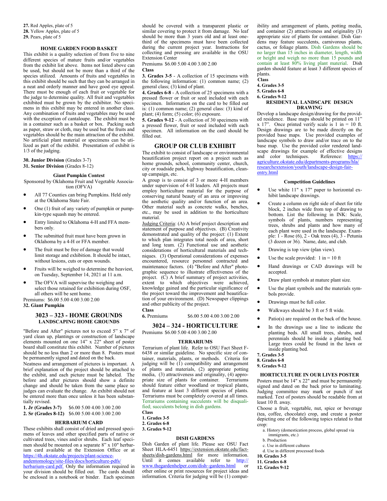**27.** Red Apples, plate of 5 **28.** Yellow Apples, plate of 5 **29.** Pears, plate of 5

# **HOME GARDEN FOOD BASKET**

This exhibit is a quality selection of from five to nine different species of mature fruits and/or vegetables from the exhibit list above. Items not listed above can be used, but should not be more than a third of the species utilized. Amounts of fruits and vegetables in this exhibit should be such that they can be arranged in a neat and orderly manner and have good eye appeal. There must be enough of each fruit or vegetable for the judge to determine quality. All fruit and vegetables exhibited must be grown by the exhibitor. No specimens in this exhibit may be entered in another class. Any combination of fruits and vegetables may be used with the exception of cantaloupe. The exhibit must be in a container such as a basket or box. Packing such as paper, straw or cloth, may be used but the fruits and vegetables should be the main attraction of the exhibit. No artificial plant material or specimens can be utilized as part of the exhibit. Presentation of exhibit is 1/3 of the judging.

**30. Junior Division** (Grades 3-7)

**31. Senior Division** (Grades 8-12)

# **Giant Pumpkin Contest**

Sponsored by Oklahoma Fruit and Vegetable Association (OFVA)

- All 77 Counties can bring Pumpkins. Held only at the Oklahoma State Fair.
- One (1) fruit of any variety of pumpkin or pumpkin-type squash may be entered.
- Entry limited to Oklahoma 4-H and FFA members only.
- The submitted fruit must have been grown in Oklahoma by a 4-H or FFA member.
- The fruit must be free of damage that would limit storage and exhibition. It should be intact, without lesions, cuts or open wounds.
- Fruits will be weighed to determine the heaviest, on Tuesday, September 14, 2021 at 11 a.m.
- The OFVA will supervise the weighing and select those retained for exhibition during OSF, all others will be sent home.

Premiums: \$6.00 5.00 4.00 3.00 2.00 **32. Giant Pumpkin**

# **3023 – 323 - HOME GROUNDS LANDSCAPING HOME GROUNDS**

"Before and After" pictures not to exceed 5" x 7" of yard clean up, plantings or construction of landscape elements mounted on one 14" x 22" sheet of poster board shall constitute this exhibit. Number of pictures should be no less than 2 or more than 8. Posters must be permanently signed and dated on the back.

Neatness and arrangement of pictures is important. A brief explanation of the project should be attached to the exhibit, and each picture must be labeled. The before and after pictures should show a definite change and should be taken from the same place so judges can evaluate the change. An exhibit should not be entered more than once unless it has been substantially revised.

**1. Jr (Grades 3-7)** \$6.00 5.00 4.00 3.00 2.00 **2. Sr (Grades 8-12)** \$6.00 5.00 4.00 3.00 2.00

## **HERBARIUM CARD**

These exhibits shall consist of dried and pressed specimens of leaves and other specified parts of native or cultivated trees, vines and/or shrubs. Each leaf specimen should be mounted on a separate 8" x 10" herbarium card available at the Extension Office or at https://4h.okstate.edu/projects/plant-science-

andentomology/site-files/docs/horticulture-pdfs/ herbarium-card.pdf. Only the information required in your division should be filled out. The cards should be enclosed in a notebook or binder. Each specimen should be covered with a transparent plastic or similar covering to protect it from damage. No leaf should be more than 3 years old and at least onethird of the specimens must have been collected during the current project year. Instructions for collecting and pressing are available in the OSU Extension Center

Premiums \$6.00 5.00 4.00 3.00 2.00

# **Class**

**3. Grades 3-5** - A collection of 15 specimens with the following information: (1) common name; (2) general class; (3) kind of plant.

**4. Grades 6-8** - A collection of 25 specimens with a pressed flower or fruit or seed included with each specimen. Information on the card to be filled out is: (1) common name; (2) general class: (3) kind of plant; (4) form; (5) color;  $(6)$  exposure.

**5. Grades 9-12** - A collection of 30 specimens with a pressed flower, fruit or seed included with each specimen. All information on the card should be filled out.

# **GROUP OR CLUB EXHIBIT**

The exhibit to consist of landscape or environmental beautification project report on a project such as home grounds, school, community center, church, city or roadside park, highway beautification, cleanup campaign, etc.

A group is to consist of 3 or more 4-H members under supervision of 4-H leaders. All projects must employ horticulture material for the purpose of conserving natural beauty of an area or improving the aesthetic quality and/or function of an area. Other material such as concrete walks, benches, etc., may be used in addition to the horticulture material.

Judging Criteria: (A) A brief project description and statement of purpose and objectives. (B) Creativity demonstrated and quality of the project: (1) Extent to which plan integrates total needs of area, short and long team. (2) Functional use and aesthetic considerations of horticultural materials and techniques. (3) Operational considerations of expenses encountered, resource personnel contracted and maintenance factors. (4) "Before and After" photographic sequence to illustrate effectiveness of the project. (C) A brief summary of project activities, extent to which objectives were achieved, knowledge gained and the particular significance of the project toward the improvement and beautification of your environment. (D) Newspaper clippings and other publicity of the project.

# **Class**

**6.** Premiums \$6.00 5.00 4.00 3.00 2.00

#### **3024 – 324 - HORTICULTURE**

Premiums \$6.00 5.00 4.00 3.00 2.00

# **TERRARIUMS**

Terrarium of plant life. Refer to OSU Fact Sheet F-6438 or similar guideline. No specific size of container, materials, plants, or methods. Criteria for judging will be  $(1)$  compatibility and arrangement of plants and materials, (2) appropriate potting media, (3) attractiveness and originality, (4) appropriate size of plants for container. Terrariums should feature either woodland or tropical plants, and feature at least 3 different species of plants. Terrariums must be completely covered at all times. Terrariums containing succulents will be disqualified; succulents belong in dish gardens.

# **Class**

**1. Grades 3-5**

- **2. Grades 6-8**
- **3. Grades 9-12**

# **DISH GARDENS**

Dish Garden of plant life. Please see OSU Fact Sheet HLA-6451 https://extension.okstate.edu/factsheets/dish-gardens.html for more information. Until it comes available refer to http:// www.thegardenhelper.com/dish~gardens.html or other online or print resources for project ideas and information. Criteria for judging will be (1) compatibility and arrangement of plants, potting media, and container (2) attractiveness and originality (3) appropriate size of plants for container. Dish Gardens may feature succulents, carnivorous plants, cactus, or foliage plants. Dish Gardens should be no larger than 15 inches in diameter, length, width or height and weigh no more than 15 pounds and contain at least 80% living plant material. Dish garden should feature at least 3 different species of plants.

**Class 4. Grades 3-5 5. Grades 6-8 6. Grades 9-12 RESIDENTAL LANDSCAPE DESIGN DRAWING**

Develop a landscape design/drawing for the provided residence. Base maps should be printed on 11" x 17". Once printed verify scale is  $1 \text{ in} = 10 \text{ ft.}$ Design drawings are to be made directly on the provided base maps. Use provided examples of landscape symbols to draw and/or trace on to the base map. Use the provided color rendered landscape drawings for example of effective designs<br>and color techniques. Reference: https:// and color techniques. agriculture.okstate.edu/departments-programs/hla/ researchextension/youth/landscape-design-fairentry.html

### **Competition Guidelines**

- Use white 11" x 17" paper to horizontal exhibit landscape drawings.
- Create a column on right side of sheet for title block, 2 inches wide from top of drawing to bottom. List the following in INK: Scale, symbols of plants, numbers representing trees, shrubs and plants and how many of each plant were used in the landscape. Example: 1 - Rose (6), 2 - Oak trees (4), 3 - Petunia (3 dozen or 36). Name, date, and club.
- Drawing is top view (plan view).
- Use the scale provided:  $1 \text{ in} = 10 \text{ ft}$
- Hand drawings or CAD drawings will be accepted.
- Draw plant symbols at mature plant size.
- Use the plant symbols and the materials symbols provide.
- Drawings must be full color.
- Walkways should be 3 ft or 5 ft wide.
- $Patio(s)$  are required on the back of the house.
- In the drawings use a line to indicate the planting beds. All small trees, shrubs, and perennials should be inside a planting bed. Large trees could be found in the lawn or inside planting bed.
- **7. Grades 3-5**
- **8. Grades 6-8**
- **9. Grades 9-12**

# **HORTICULTURE IN OUR LIVES POSTER**

Posters must be 14" x 22" and must be permanently signed and dated on the back prior to laminating. Judging committee may mark or punch if not marked. Text of posters should be readable from at least 10 ft. away.

Choose a fruit, vegetable, nut, spice or beverage (tea, coffee, chocolate) crop, and create a poster depicting one of the following topics related to that crop:

- a. History (domestication process, global spread via immigrants, etc.)
- b. Production
- c. Use in different cultures
- d. Use in different processed foods
- **10. Grades 3-5**
- **11. Grades 6-8**
- **12. Grades 9-12**